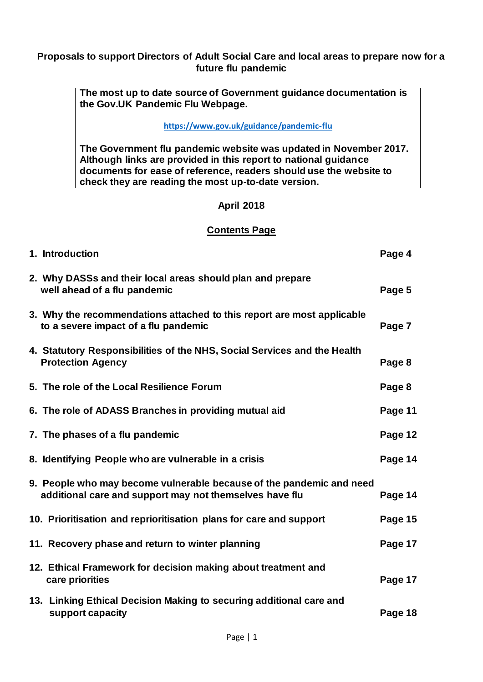#### **Proposals to support Directors of Adult Social Care and local areas to prepare now for a future flu pandemic**

**The most up to date source of Government guidance documentation is the Gov.UK Pandemic Flu Webpage.**

#### **<https://www.gov.uk/guidance/pandemic-flu>**

**The Government flu pandemic website was updated in November 2017. Although links are provided in this report to national guidance documents for ease of reference, readers should use the website to check they are reading the most up-to-date version.**

#### **April 2018**

#### **Contents Page**

| 1. Introduction                                                                                                                 | Page 4  |
|---------------------------------------------------------------------------------------------------------------------------------|---------|
| 2. Why DASSs and their local areas should plan and prepare<br>well ahead of a flu pandemic                                      | Page 5  |
| 3. Why the recommendations attached to this report are most applicable<br>to a severe impact of a flu pandemic                  | Page 7  |
| 4. Statutory Responsibilities of the NHS, Social Services and the Health<br><b>Protection Agency</b>                            | Page 8  |
| 5. The role of the Local Resilience Forum                                                                                       | Page 8  |
| 6. The role of ADASS Branches in providing mutual aid                                                                           | Page 11 |
| 7. The phases of a flu pandemic                                                                                                 | Page 12 |
| 8. Identifying People who are vulnerable in a crisis                                                                            | Page 14 |
| 9. People who may become vulnerable because of the pandemic and need<br>additional care and support may not themselves have flu | Page 14 |
| 10. Prioritisation and reprioritisation plans for care and support                                                              | Page 15 |
| 11. Recovery phase and return to winter planning                                                                                | Page 17 |
| 12. Ethical Framework for decision making about treatment and<br>care priorities                                                | Page 17 |
| 13. Linking Ethical Decision Making to securing additional care and<br>support capacity                                         | Page 18 |
|                                                                                                                                 |         |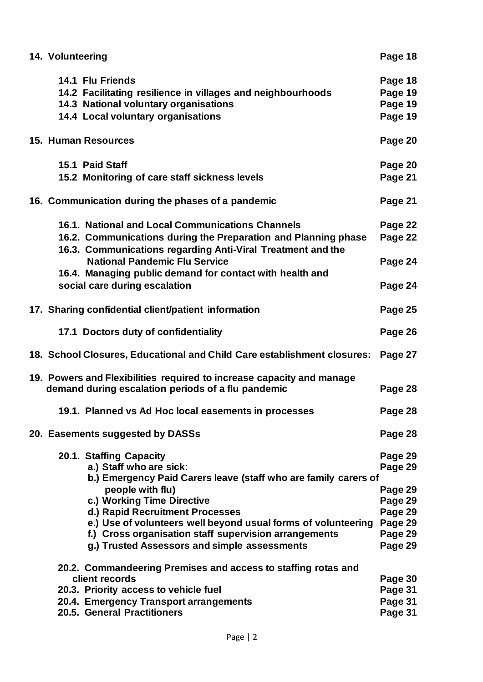| 14.1 Flu Friends<br>Page 18<br>Page 19<br>14.2 Facilitating resilience in villages and neighbourhoods<br>14.3 National voluntary organisations<br>Page 19<br>14.4 Local voluntary organisations<br>Page 19<br>15. Human Resources<br>Page 20<br>15.1 Paid Staff<br>Page 20<br>15.2 Monitoring of care staff sickness levels<br>Page 21<br>16. Communication during the phases of a pandemic<br>Page 21<br>16.1. National and Local Communications Channels<br>Page 22<br>16.2. Communications during the Preparation and Planning phase<br>Page 22<br>16.3. Communications regarding Anti-Viral Treatment and the<br><b>National Pandemic Flu Service</b><br>Page 24<br>16.4. Managing public demand for contact with health and<br>social care during escalation<br>Page 24<br>17. Sharing confidential client/patient information<br>Page 25<br>Page 26<br>17.1 Doctors duty of confidentiality<br>18. School Closures, Educational and Child Care establishment closures:<br>Page 27<br>19. Powers and Flexibilities required to increase capacity and manage<br>Page 28<br>demand during escalation periods of a flu pandemic<br>19.1. Planned vs Ad Hoc local easements in processes<br>Page 28<br>20. Easements suggested by DASSs<br>Page 28<br>20.1. Staffing Capacity<br>Page 29<br>a.) Staff who are sick:<br>Page 29<br>b.) Emergency Paid Carers leave (staff who are family carers of<br>people with flu)<br>Page 29<br>c.) Working Time Directive<br>Page 29<br>d.) Rapid Recruitment Processes<br>Page 29<br>e.) Use of volunteers well beyond usual forms of volunteering<br>Page 29<br>f.) Cross organisation staff supervision arrangements<br>Page 29<br>g.) Trusted Assessors and simple assessments<br>Page 29<br>20.2. Commandeering Premises and access to staffing rotas and<br>client records<br>Page 30<br>20.3. Priority access to vehicle fuel<br>Page 31<br>20.4. Emergency Transport arrangements<br>Page 31 | 14. Volunteering | Page 18 |
|--------------------------------------------------------------------------------------------------------------------------------------------------------------------------------------------------------------------------------------------------------------------------------------------------------------------------------------------------------------------------------------------------------------------------------------------------------------------------------------------------------------------------------------------------------------------------------------------------------------------------------------------------------------------------------------------------------------------------------------------------------------------------------------------------------------------------------------------------------------------------------------------------------------------------------------------------------------------------------------------------------------------------------------------------------------------------------------------------------------------------------------------------------------------------------------------------------------------------------------------------------------------------------------------------------------------------------------------------------------------------------------------------------------------------------------------------------------------------------------------------------------------------------------------------------------------------------------------------------------------------------------------------------------------------------------------------------------------------------------------------------------------------------------------------------------------------------------------------------------------------------------------------------------------------------------------|------------------|---------|
|                                                                                                                                                                                                                                                                                                                                                                                                                                                                                                                                                                                                                                                                                                                                                                                                                                                                                                                                                                                                                                                                                                                                                                                                                                                                                                                                                                                                                                                                                                                                                                                                                                                                                                                                                                                                                                                                                                                                            |                  |         |
|                                                                                                                                                                                                                                                                                                                                                                                                                                                                                                                                                                                                                                                                                                                                                                                                                                                                                                                                                                                                                                                                                                                                                                                                                                                                                                                                                                                                                                                                                                                                                                                                                                                                                                                                                                                                                                                                                                                                            |                  |         |
|                                                                                                                                                                                                                                                                                                                                                                                                                                                                                                                                                                                                                                                                                                                                                                                                                                                                                                                                                                                                                                                                                                                                                                                                                                                                                                                                                                                                                                                                                                                                                                                                                                                                                                                                                                                                                                                                                                                                            |                  |         |
|                                                                                                                                                                                                                                                                                                                                                                                                                                                                                                                                                                                                                                                                                                                                                                                                                                                                                                                                                                                                                                                                                                                                                                                                                                                                                                                                                                                                                                                                                                                                                                                                                                                                                                                                                                                                                                                                                                                                            |                  |         |
|                                                                                                                                                                                                                                                                                                                                                                                                                                                                                                                                                                                                                                                                                                                                                                                                                                                                                                                                                                                                                                                                                                                                                                                                                                                                                                                                                                                                                                                                                                                                                                                                                                                                                                                                                                                                                                                                                                                                            |                  |         |
|                                                                                                                                                                                                                                                                                                                                                                                                                                                                                                                                                                                                                                                                                                                                                                                                                                                                                                                                                                                                                                                                                                                                                                                                                                                                                                                                                                                                                                                                                                                                                                                                                                                                                                                                                                                                                                                                                                                                            |                  |         |
|                                                                                                                                                                                                                                                                                                                                                                                                                                                                                                                                                                                                                                                                                                                                                                                                                                                                                                                                                                                                                                                                                                                                                                                                                                                                                                                                                                                                                                                                                                                                                                                                                                                                                                                                                                                                                                                                                                                                            |                  |         |
|                                                                                                                                                                                                                                                                                                                                                                                                                                                                                                                                                                                                                                                                                                                                                                                                                                                                                                                                                                                                                                                                                                                                                                                                                                                                                                                                                                                                                                                                                                                                                                                                                                                                                                                                                                                                                                                                                                                                            |                  |         |
|                                                                                                                                                                                                                                                                                                                                                                                                                                                                                                                                                                                                                                                                                                                                                                                                                                                                                                                                                                                                                                                                                                                                                                                                                                                                                                                                                                                                                                                                                                                                                                                                                                                                                                                                                                                                                                                                                                                                            |                  |         |
|                                                                                                                                                                                                                                                                                                                                                                                                                                                                                                                                                                                                                                                                                                                                                                                                                                                                                                                                                                                                                                                                                                                                                                                                                                                                                                                                                                                                                                                                                                                                                                                                                                                                                                                                                                                                                                                                                                                                            |                  |         |
|                                                                                                                                                                                                                                                                                                                                                                                                                                                                                                                                                                                                                                                                                                                                                                                                                                                                                                                                                                                                                                                                                                                                                                                                                                                                                                                                                                                                                                                                                                                                                                                                                                                                                                                                                                                                                                                                                                                                            |                  |         |
|                                                                                                                                                                                                                                                                                                                                                                                                                                                                                                                                                                                                                                                                                                                                                                                                                                                                                                                                                                                                                                                                                                                                                                                                                                                                                                                                                                                                                                                                                                                                                                                                                                                                                                                                                                                                                                                                                                                                            |                  |         |
|                                                                                                                                                                                                                                                                                                                                                                                                                                                                                                                                                                                                                                                                                                                                                                                                                                                                                                                                                                                                                                                                                                                                                                                                                                                                                                                                                                                                                                                                                                                                                                                                                                                                                                                                                                                                                                                                                                                                            |                  |         |
|                                                                                                                                                                                                                                                                                                                                                                                                                                                                                                                                                                                                                                                                                                                                                                                                                                                                                                                                                                                                                                                                                                                                                                                                                                                                                                                                                                                                                                                                                                                                                                                                                                                                                                                                                                                                                                                                                                                                            |                  |         |
|                                                                                                                                                                                                                                                                                                                                                                                                                                                                                                                                                                                                                                                                                                                                                                                                                                                                                                                                                                                                                                                                                                                                                                                                                                                                                                                                                                                                                                                                                                                                                                                                                                                                                                                                                                                                                                                                                                                                            |                  |         |
|                                                                                                                                                                                                                                                                                                                                                                                                                                                                                                                                                                                                                                                                                                                                                                                                                                                                                                                                                                                                                                                                                                                                                                                                                                                                                                                                                                                                                                                                                                                                                                                                                                                                                                                                                                                                                                                                                                                                            |                  |         |
|                                                                                                                                                                                                                                                                                                                                                                                                                                                                                                                                                                                                                                                                                                                                                                                                                                                                                                                                                                                                                                                                                                                                                                                                                                                                                                                                                                                                                                                                                                                                                                                                                                                                                                                                                                                                                                                                                                                                            |                  |         |
|                                                                                                                                                                                                                                                                                                                                                                                                                                                                                                                                                                                                                                                                                                                                                                                                                                                                                                                                                                                                                                                                                                                                                                                                                                                                                                                                                                                                                                                                                                                                                                                                                                                                                                                                                                                                                                                                                                                                            |                  |         |
|                                                                                                                                                                                                                                                                                                                                                                                                                                                                                                                                                                                                                                                                                                                                                                                                                                                                                                                                                                                                                                                                                                                                                                                                                                                                                                                                                                                                                                                                                                                                                                                                                                                                                                                                                                                                                                                                                                                                            |                  |         |
|                                                                                                                                                                                                                                                                                                                                                                                                                                                                                                                                                                                                                                                                                                                                                                                                                                                                                                                                                                                                                                                                                                                                                                                                                                                                                                                                                                                                                                                                                                                                                                                                                                                                                                                                                                                                                                                                                                                                            |                  |         |
|                                                                                                                                                                                                                                                                                                                                                                                                                                                                                                                                                                                                                                                                                                                                                                                                                                                                                                                                                                                                                                                                                                                                                                                                                                                                                                                                                                                                                                                                                                                                                                                                                                                                                                                                                                                                                                                                                                                                            |                  |         |
|                                                                                                                                                                                                                                                                                                                                                                                                                                                                                                                                                                                                                                                                                                                                                                                                                                                                                                                                                                                                                                                                                                                                                                                                                                                                                                                                                                                                                                                                                                                                                                                                                                                                                                                                                                                                                                                                                                                                            |                  |         |
|                                                                                                                                                                                                                                                                                                                                                                                                                                                                                                                                                                                                                                                                                                                                                                                                                                                                                                                                                                                                                                                                                                                                                                                                                                                                                                                                                                                                                                                                                                                                                                                                                                                                                                                                                                                                                                                                                                                                            |                  |         |
|                                                                                                                                                                                                                                                                                                                                                                                                                                                                                                                                                                                                                                                                                                                                                                                                                                                                                                                                                                                                                                                                                                                                                                                                                                                                                                                                                                                                                                                                                                                                                                                                                                                                                                                                                                                                                                                                                                                                            |                  |         |
|                                                                                                                                                                                                                                                                                                                                                                                                                                                                                                                                                                                                                                                                                                                                                                                                                                                                                                                                                                                                                                                                                                                                                                                                                                                                                                                                                                                                                                                                                                                                                                                                                                                                                                                                                                                                                                                                                                                                            |                  |         |
|                                                                                                                                                                                                                                                                                                                                                                                                                                                                                                                                                                                                                                                                                                                                                                                                                                                                                                                                                                                                                                                                                                                                                                                                                                                                                                                                                                                                                                                                                                                                                                                                                                                                                                                                                                                                                                                                                                                                            |                  |         |
|                                                                                                                                                                                                                                                                                                                                                                                                                                                                                                                                                                                                                                                                                                                                                                                                                                                                                                                                                                                                                                                                                                                                                                                                                                                                                                                                                                                                                                                                                                                                                                                                                                                                                                                                                                                                                                                                                                                                            |                  |         |
|                                                                                                                                                                                                                                                                                                                                                                                                                                                                                                                                                                                                                                                                                                                                                                                                                                                                                                                                                                                                                                                                                                                                                                                                                                                                                                                                                                                                                                                                                                                                                                                                                                                                                                                                                                                                                                                                                                                                            |                  |         |
|                                                                                                                                                                                                                                                                                                                                                                                                                                                                                                                                                                                                                                                                                                                                                                                                                                                                                                                                                                                                                                                                                                                                                                                                                                                                                                                                                                                                                                                                                                                                                                                                                                                                                                                                                                                                                                                                                                                                            |                  |         |
|                                                                                                                                                                                                                                                                                                                                                                                                                                                                                                                                                                                                                                                                                                                                                                                                                                                                                                                                                                                                                                                                                                                                                                                                                                                                                                                                                                                                                                                                                                                                                                                                                                                                                                                                                                                                                                                                                                                                            |                  |         |
|                                                                                                                                                                                                                                                                                                                                                                                                                                                                                                                                                                                                                                                                                                                                                                                                                                                                                                                                                                                                                                                                                                                                                                                                                                                                                                                                                                                                                                                                                                                                                                                                                                                                                                                                                                                                                                                                                                                                            |                  |         |
|                                                                                                                                                                                                                                                                                                                                                                                                                                                                                                                                                                                                                                                                                                                                                                                                                                                                                                                                                                                                                                                                                                                                                                                                                                                                                                                                                                                                                                                                                                                                                                                                                                                                                                                                                                                                                                                                                                                                            |                  |         |
|                                                                                                                                                                                                                                                                                                                                                                                                                                                                                                                                                                                                                                                                                                                                                                                                                                                                                                                                                                                                                                                                                                                                                                                                                                                                                                                                                                                                                                                                                                                                                                                                                                                                                                                                                                                                                                                                                                                                            |                  |         |
|                                                                                                                                                                                                                                                                                                                                                                                                                                                                                                                                                                                                                                                                                                                                                                                                                                                                                                                                                                                                                                                                                                                                                                                                                                                                                                                                                                                                                                                                                                                                                                                                                                                                                                                                                                                                                                                                                                                                            |                  |         |
|                                                                                                                                                                                                                                                                                                                                                                                                                                                                                                                                                                                                                                                                                                                                                                                                                                                                                                                                                                                                                                                                                                                                                                                                                                                                                                                                                                                                                                                                                                                                                                                                                                                                                                                                                                                                                                                                                                                                            |                  |         |
| 20.5. General Practitioners<br>Page 31                                                                                                                                                                                                                                                                                                                                                                                                                                                                                                                                                                                                                                                                                                                                                                                                                                                                                                                                                                                                                                                                                                                                                                                                                                                                                                                                                                                                                                                                                                                                                                                                                                                                                                                                                                                                                                                                                                     |                  |         |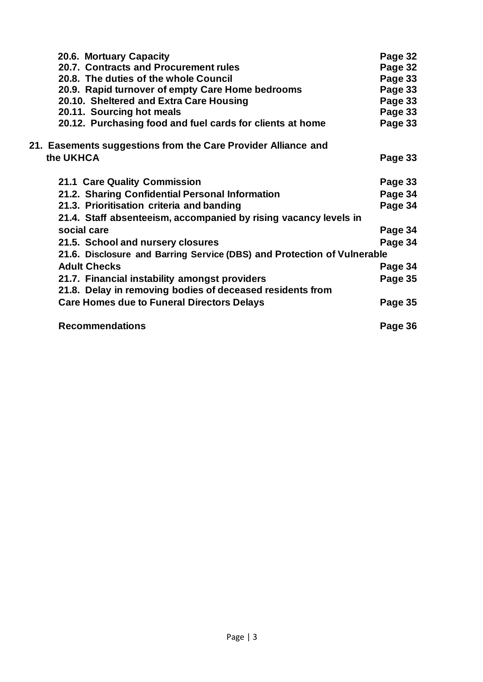| 20.6. Mortuary Capacity                                                 | Page 32 |
|-------------------------------------------------------------------------|---------|
| 20.7. Contracts and Procurement rules                                   | Page 32 |
| 20.8. The duties of the whole Council                                   | Page 33 |
| 20.9. Rapid turnover of empty Care Home bedrooms                        | Page 33 |
| 20.10. Sheltered and Extra Care Housing                                 | Page 33 |
| 20.11. Sourcing hot meals                                               | Page 33 |
| 20.12. Purchasing food and fuel cards for clients at home               | Page 33 |
| 21. Easements suggestions from the Care Provider Alliance and           |         |
| the UKHCA                                                               | Page 33 |
| 21.1 Care Quality Commission                                            | Page 33 |
| 21.2. Sharing Confidential Personal Information                         | Page 34 |
| 21.3. Prioritisation criteria and banding                               | Page 34 |
| 21.4. Staff absenteeism, accompanied by rising vacancy levels in        |         |
| social care                                                             | Page 34 |
| 21.5. School and nursery closures                                       | Page 34 |
| 21.6. Disclosure and Barring Service (DBS) and Protection of Vulnerable |         |
| <b>Adult Checks</b>                                                     | Page 34 |
| 21.7. Financial instability amongst providers                           | Page 35 |
| 21.8. Delay in removing bodies of deceased residents from               |         |
| <b>Care Homes due to Funeral Directors Delays</b>                       | Page 35 |
| <b>Recommendations</b>                                                  | Page 36 |
|                                                                         |         |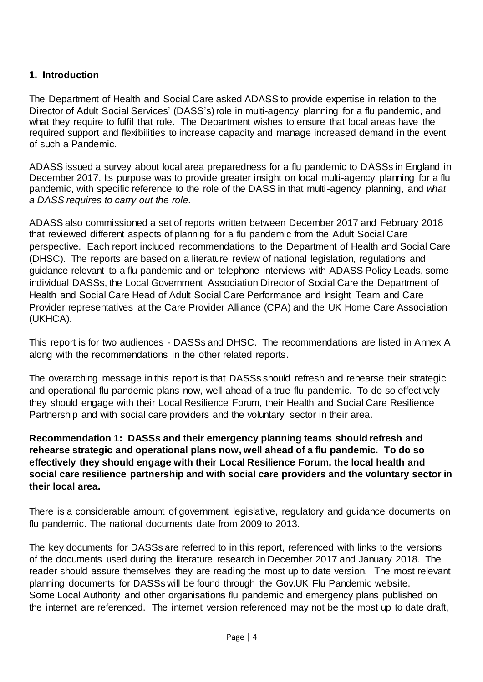## **1. Introduction**

The Department of Health and Social Care asked ADASS to provide expertise in relation to the Director of Adult Social Services' (DASS's) role in multi-agency planning for a flu pandemic, and what they require to fulfil that role. The Department wishes to ensure that local areas have the required support and flexibilities to increase capacity and manage increased demand in the event of such a Pandemic.

ADASS issued a survey about local area preparedness for a flu pandemic to DASSs in England in December 2017. Its purpose was to provide greater insight on local multi-agency planning for a flu pandemic, with specific reference to the role of the DASS in that multi-agency planning, and *what a DASS requires to carry out the role.*

ADASS also commissioned a set of reports written between December 2017 and February 2018 that reviewed different aspects of planning for a flu pandemic from the Adult Social Care perspective. Each report included recommendations to the Department of Health and Social Care (DHSC). The reports are based on a literature review of national legislation, regulations and guidance relevant to a flu pandemic and on telephone interviews with ADASS Policy Leads, some individual DASSs, the Local Government Association Director of Social Care the Department of Health and Social Care Head of Adult Social Care Performance and Insight Team and Care Provider representatives at the Care Provider Alliance (CPA) and the UK Home Care Association (UKHCA).

This report is for two audiences - DASSs and DHSC. The recommendations are listed in Annex A along with the recommendations in the other related reports.

The overarching message in this report is that DASSs should refresh and rehearse their strategic and operational flu pandemic plans now, well ahead of a true flu pandemic. To do so effectively they should engage with their Local Resilience Forum, their Health and Social Care Resilience Partnership and with social care providers and the voluntary sector in their area.

**Recommendation 1: DASSs and their emergency planning teams should refresh and rehearse strategic and operational plans now, well ahead of a flu pandemic. To do so effectively they should engage with their Local Resilience Forum, the local health and social care resilience partnership and with social care providers and the voluntary sector in their local area.**

There is a considerable amount of government legislative, regulatory and guidance documents on flu pandemic. The national documents date from 2009 to 2013.

The key documents for DASSs are referred to in this report, referenced with links to the versions of the documents used during the literature research in December 2017 and January 2018. The reader should assure themselves they are reading the most up to date version. The most relevant planning documents for DASSs will be found through the Gov.UK Flu Pandemic website. Some Local Authority and other organisations flu pandemic and emergency plans published on the internet are referenced. The internet version referenced may not be the most up to date draft,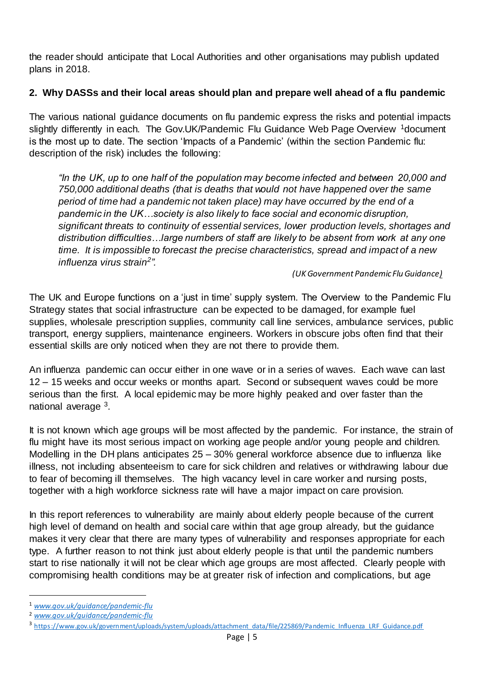the reader should anticipate that Local Authorities and other organisations may publish updated plans in 2018.

## **2. Why DASSs and their local areas should plan and prepare well ahead of a flu pandemic**

The various national guidance documents on flu pandemic express the risks and potential impacts slightly differently in each. The Gov.UK/Pandemic Flu Guidance Web Page Overview <sup>1</sup>document is the most up to date. The section 'Impacts of a Pandemic' (within the section Pandemic flu: description of the risk) includes the following:

*"In the UK, up to one half of the population may become infected and between 20,000 and 750,000 additional deaths (that is deaths that would not have happened over the same period of time had a pandemic not taken place) may have occurred by the end of a pandemic in the UK…society is also likely to face social and economic disruption, significant threats to continuity of essential services, lower production levels, shortages and distribution difficulties…large numbers of staff are likely to be absent from work at any one time. It is impossible to forecast the precise characteristics, spread and impact of a new influenza virus strain<sup>2</sup> ".*

*(UK Government Pandemic Flu Guidance)*

The UK and Europe functions on a 'just in time' supply system. The Overview to the Pandemic Flu Strategy states that social infrastructure can be expected to be damaged, for example fuel supplies, wholesale prescription supplies, community call line services, ambulance services, public transport, energy suppliers, maintenance engineers. Workers in obscure jobs often find that their essential skills are only noticed when they are not there to provide them.

An influenza pandemic can occur either in one wave or in a series of waves. Each wave can last 12 – 15 weeks and occur weeks or months apart. Second or subsequent waves could be more serious than the first. A local epidemic may be more highly peaked and over faster than the national average <sup>3</sup>.

It is not known which age groups will be most affected by the pandemic. For instance, the strain of flu might have its most serious impact on working age people and/or young people and children. Modelling in the DH plans anticipates 25 – 30% general workforce absence due to influenza like illness, not including absenteeism to care for sick children and relatives or withdrawing labour due to fear of becoming ill themselves. The high vacancy level in care worker and nursing posts, together with a high workforce sickness rate will have a major impact on care provision.

In this report references to vulnerability are mainly about elderly people because of the current high level of demand on health and social care within that age group already, but the guidance makes it very clear that there are many types of vulnerability and responses appropriate for each type. A further reason to not think just about elderly people is that until the pandemic numbers start to rise nationally it will not be clear which age groups are most affected. Clearly people with compromising health conditions may be at greater risk of infection and complications, but age

<sup>1</sup> *[www.gov.uk/guidance/pandemic-flu](http://www.gov.uk/guidance/pandemic-flu)*

<sup>2</sup> *[www.gov.uk/guidance/pandemic-flu](http://www.gov.uk/guidance/pandemic-flu)*

<sup>&</sup>lt;sup>3</sup> [https://www.gov.uk/government/uploads/system/uploads/attachment\\_data/file/225869/Pandemic\\_Influenza\\_LRF\\_Guidance.pdf](https://www.gov.uk/government/uploads/system/uploads/attachment_data/file/225869/Pandemic_Influenza_LRF_Guidance.pdf)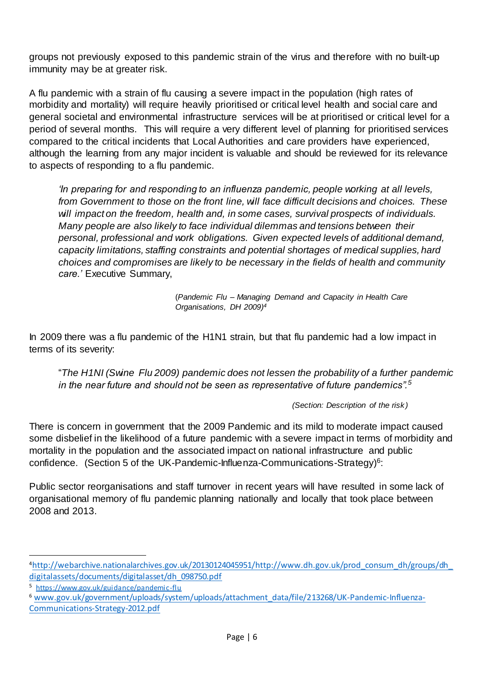groups not previously exposed to this pandemic strain of the virus and therefore with no built-up immunity may be at greater risk.

A flu pandemic with a strain of flu causing a severe impact in the population (high rates of morbidity and mortality) will require heavily prioritised or critical level health and social care and general societal and environmental infrastructure services will be at prioritised or critical level for a period of several months. This will require a very different level of planning for prioritised services compared to the critical incidents that Local Authorities and care providers have experienced, although the learning from any major incident is valuable and should be reviewed for its relevance to aspects of responding to a flu pandemic.

*'In preparing for and responding to an influenza pandemic, people working at all levels, from Government to those on the front line, will face difficult decisions and choices. These will impact on the freedom, health and, in some cases, survival prospects of individuals. Many people are also likely to face individual dilemmas and tensions between their personal, professional and work obligations. Given expected levels of additional demand, capacity limitations, staffing constraints and potential shortages of medical supplies, hard choices and compromises are likely to be necessary in the fields of health and community care.'* Executive Summary,

> (*Pandemic Flu – Managing Demand and Capacity in Health Care Organisations, DH 2009) 4*

In 2009 there was a flu pandemic of the H1N1 strain, but that flu pandemic had a low impact in terms of its severity:

"*The H1NI (Swine Flu 2009) pandemic does not lessen the probability of a further pandemic in the near future and should not be seen as representative of future pandemics".<sup>5</sup>*

*(Section: Description of the risk )*

There is concern in government that the 2009 Pandemic and its mild to moderate impact caused some disbelief in the likelihood of a future pandemic with a severe impact in terms of morbidity and mortality in the population and the associated impact on national infrastructure and public confidence. (Section 5 of the UK-Pandemic-Influenza-Communications-Strategy)<sup>6</sup>:

Public sector reorganisations and staff turnover in recent years will have resulted in some lack of organisational memory of flu pandemic planning nationally and locally that took place between 2008 and 2013.

 $\overline{a}$ 

<sup>6</sup> [www.gov.uk/government/uploads/system/uploads/attachment\\_data/file/213268/UK-Pandemic-Influenza-](http://www.gov.uk/government/uploads/system/uploads/attachment_data/file/213268/UK-Pandemic-Influenza-Communications-Strategy-2012.pdf)[Communications-Strategy-2012.pdf](http://www.gov.uk/government/uploads/system/uploads/attachment_data/file/213268/UK-Pandemic-Influenza-Communications-Strategy-2012.pdf)

<sup>4</sup>[http://webarchive.nationalarchives.gov.uk/20130124045951/http://www.dh.gov.uk/prod\\_consum\\_dh/groups/dh\\_](http://webarchive.nationalarchives.gov.uk/20130124045951/http:/www.dh.gov.uk/prod_consum_dh/groups/dh_digitalassets/documents/digitalasset/dh_098750.pdf) [digitalassets/documents/digitalasset/dh\\_098750.pdf](http://webarchive.nationalarchives.gov.uk/20130124045951/http:/www.dh.gov.uk/prod_consum_dh/groups/dh_digitalassets/documents/digitalasset/dh_098750.pdf)

<sup>5</sup> <https://www.gov.uk/guidance/pandemic-flu>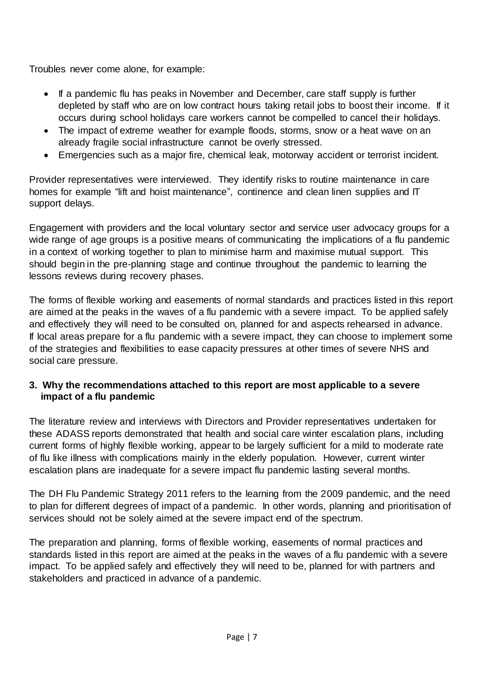Troubles never come alone, for example:

- If a pandemic flu has peaks in November and December, care staff supply is further depleted by staff who are on low contract hours taking retail jobs to boost their income. If it occurs during school holidays care workers cannot be compelled to cancel their holidays.
- The impact of extreme weather for example floods, storms, snow or a heat wave on an already fragile social infrastructure cannot be overly stressed.
- Emergencies such as a major fire, chemical leak, motorway accident or terrorist incident.

Provider representatives were interviewed. They identify risks to routine maintenance in care homes for example "lift and hoist maintenance", continence and clean linen supplies and IT support delays.

Engagement with providers and the local voluntary sector and service user advocacy groups for a wide range of age groups is a positive means of communicating the implications of a flu pandemic in a context of working together to plan to minimise harm and maximise mutual support. This should begin in the pre-planning stage and continue throughout the pandemic to learning the lessons reviews during recovery phases.

The forms of flexible working and easements of normal standards and practices listed in this report are aimed at the peaks in the waves of a flu pandemic with a severe impact. To be applied safely and effectively they will need to be consulted on, planned for and aspects rehearsed in advance. If local areas prepare for a flu pandemic with a severe impact, they can choose to implement some of the strategies and flexibilities to ease capacity pressures at other times of severe NHS and social care pressure.

## **3. Why the recommendations attached to this report are most applicable to a severe impact of a flu pandemic**

The literature review and interviews with Directors and Provider representatives undertaken for these ADASS reports demonstrated that health and social care winter escalation plans, including current forms of highly flexible working, appear to be largely sufficient for a mild to moderate rate of flu like illness with complications mainly in the elderly population. However, current winter escalation plans are inadequate for a severe impact flu pandemic lasting several months.

The DH Flu Pandemic Strategy 2011 refers to the learning from the 2009 pandemic, and the need to plan for different degrees of impact of a pandemic. In other words, planning and prioritisation of services should not be solely aimed at the severe impact end of the spectrum.

The preparation and planning, forms of flexible working, easements of normal practices and standards listed in this report are aimed at the peaks in the waves of a flu pandemic with a severe impact. To be applied safely and effectively they will need to be, planned for with partners and stakeholders and practiced in advance of a pandemic.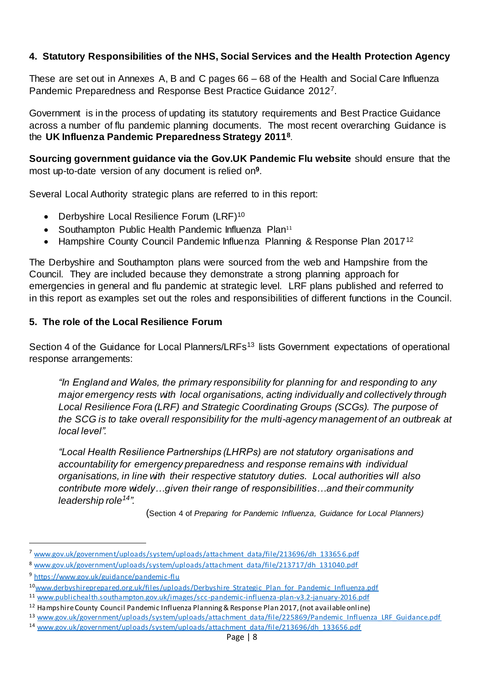## **4. Statutory Responsibilities of the NHS, Social Services and the Health Protection Agency**

These are set out in Annexes A, B and C pages 66 – 68 of the Health and Social Care Influenza Pandemic Preparedness and Response Best Practice Guidance 2012<sup>7</sup> .

Government is in the process of updating its statutory requirements and Best Practice Guidance across a number of flu pandemic planning documents. The most recent overarching Guidance is the **UK Influenza Pandemic Preparedness Strategy 2011<sup>8</sup>** .

**Sourcing government guidance via the Gov.UK Pandemic Flu website** should ensure that the most up-to-date version of any document is relied on**<sup>9</sup>** .

Several Local Authority strategic plans are referred to in this report:

- Derbyshire Local Resilience Forum (LRF)<sup>10</sup>
- Southampton Public Health Pandemic Influenza Plan<sup>11</sup>
- Hampshire County Council Pandemic Influenza Planning & Response Plan 2017<sup>12</sup>

The Derbyshire and Southampton plans were sourced from the web and Hampshire from the Council. They are included because they demonstrate a strong planning approach for emergencies in general and flu pandemic at strategic level. LRF plans published and referred to in this report as examples set out the roles and responsibilities of different functions in the Council.

## **5. The role of the Local Resilience Forum**

Section 4 of the Guidance for Local Planners/LRFs<sup>13</sup> lists Government expectations of operational response arrangements:

*"In England and Wales, the primary responsibility for planning for and responding to any major emergency rests with local organisations, acting individually and collectively through Local Resilience Fora (LRF) and Strategic Coordinating Groups (SCGs). The purpose of the SCG is to take overall responsibility for the multi-agency management of an outbreak at local level".*

*"Local Health Resilience Partnerships (LHRPs) are not statutory organisations and accountability for emergency preparedness and response remains with individual organisations, in line with their respective statutory duties. Local authorities will also contribute more widely…given their range of responsibilities…and their community leadership role<sup>14</sup>".*

(Section 4 of *Preparing for Pandemic Influenza, Guidance for Local Planners)*

 $\overline{a}$ 

<sup>12</sup> Hampshire County Council Pandemic Influenza Planning & Response Plan 2017, (not available online)

<sup>7</sup> [www.gov.uk/government/uploads/system/uploads/attachment\\_data/file/213696/dh\\_13365](http://www.gov.uk/government/uploads/system/uploads/attachment_data/file/213696/dh_133656.pdf) 6.pdf

<sup>8</sup> [www.gov.uk/government/uploads/system/uploads/attachment\\_data/file/213717/dh\\_131040.pdf](http://www.gov.uk/government/uploads/system/uploads/attachment_data/file/213717/dh_131040.pdf)

<sup>9</sup> <https://www.gov.uk/guidance/pandemic-flu>

<sup>10</sup>[www.derbyshireprepared.org.uk/files/uploads/Derbyshire\\_Strategic\\_Plan\\_for\\_Pandemic\\_Influenza.pdf](http://www.derbyshireprepared.org.uk/files/uploads/Derbyshire_Strategic_Plan_for_Pandemic_Influenza.pdf)

<sup>11</sup> [www.publichealth.southampton.gov.uk/images/scc-pandemic-influenza-plan-v3.2-january-2016.pdf](http://www.publichealth.southampton.gov.uk/images/scc-pandemic-influenza-plan-v3.2-january-2016.pdf)

<sup>13</sup> [www.gov.uk/government/uploads/system/uploads/attachment\\_data/file/225869/Pandemic\\_Influenza\\_LRF\\_Guidance.pdf](http://www.gov.uk/government/uploads/system/uploads/attachment_data/file/225869/Pandemic_Influenza_LRF_Guidance.pdf)

<sup>14</sup> [www.gov.uk/government/uploads/system/uploads/attachment\\_data/file/213696/dh\\_133656.pdf](http://www.gov.uk/government/uploads/system/uploads/attachment_data/file/213696/dh_133656.pdf)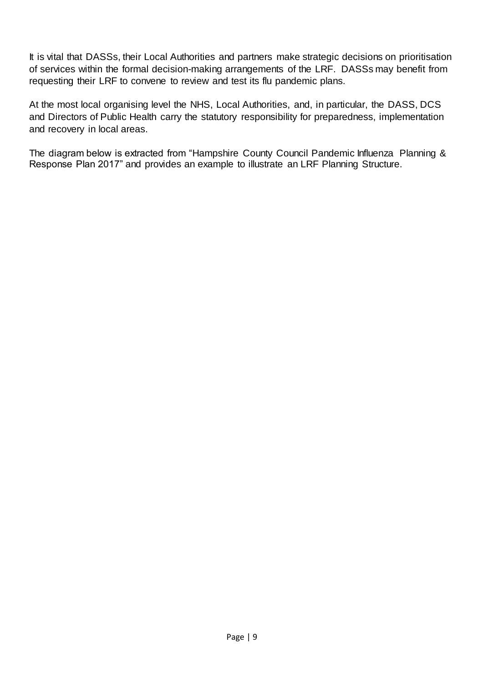It is vital that DASSs, their Local Authorities and partners make strategic decisions on prioritisation of services within the formal decision-making arrangements of the LRF. DASSs may benefit from requesting their LRF to convene to review and test its flu pandemic plans.

At the most local organising level the NHS, Local Authorities, and, in particular, the DASS, DCS and Directors of Public Health carry the statutory responsibility for preparedness, implementation and recovery in local areas.

The diagram below is extracted from "Hampshire County Council Pandemic Influenza Planning & Response Plan 2017" and provides an example to illustrate an LRF Planning Structure.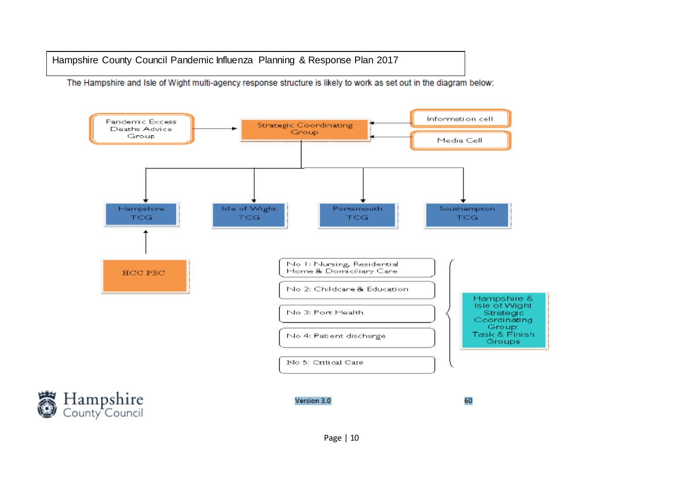Hampshire County Council Pandemic Influenza Planning & Response Plan 2017

The Hampshire and Isle of Wight multi-agency response structure is likely to work as set out in the diagram below:

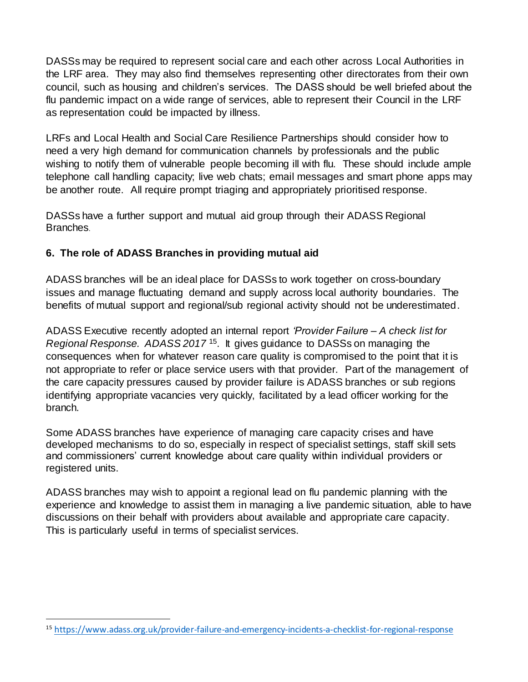DASSs may be required to represent social care and each other across Local Authorities in the LRF area. They may also find themselves representing other directorates from their own council, such as housing and children's services. The DASS should be well briefed about the flu pandemic impact on a wide range of services, able to represent their Council in the LRF as representation could be impacted by illness.

LRFs and Local Health and Social Care Resilience Partnerships should consider how to need a very high demand for communication channels by professionals and the public wishing to notify them of vulnerable people becoming ill with flu. These should include ample telephone call handling capacity; live web chats; email messages and smart phone apps may be another route. All require prompt triaging and appropriately prioritised response.

DASSs have a further support and mutual aid group through their ADASS Regional Branches.

## **6. The role of ADASS Branches in providing mutual aid**

ADASS branches will be an ideal place for DASSs to work together on cross-boundary issues and manage fluctuating demand and supply across local authority boundaries. The benefits of mutual support and regional/sub regional activity should not be underestimated.

ADASS Executive recently adopted an internal report *'Provider Failure – A check list for*  Regional Response. ADASS 2017<sup>15</sup>. It gives guidance to DASSs on managing the consequences when for whatever reason care quality is compromised to the point that it is not appropriate to refer or place service users with that provider. Part of the management of the care capacity pressures caused by provider failure is ADASS branches or sub regions identifying appropriate vacancies very quickly, facilitated by a lead officer working for the branch.

Some ADASS branches have experience of managing care capacity crises and have developed mechanisms to do so, especially in respect of specialist settings, staff skill sets and commissioners' current knowledge about care quality within individual providers or registered units.

ADASS branches may wish to appoint a regional lead on flu pandemic planning with the experience and knowledge to assist them in managing a live pandemic situation, able to have discussions on their behalf with providers about available and appropriate care capacity. This is particularly useful in terms of specialist services.

<sup>15</sup> <https://www.adass.org.uk/provider-failure-and-emergency-incidents-a-checklist-for-regional-response>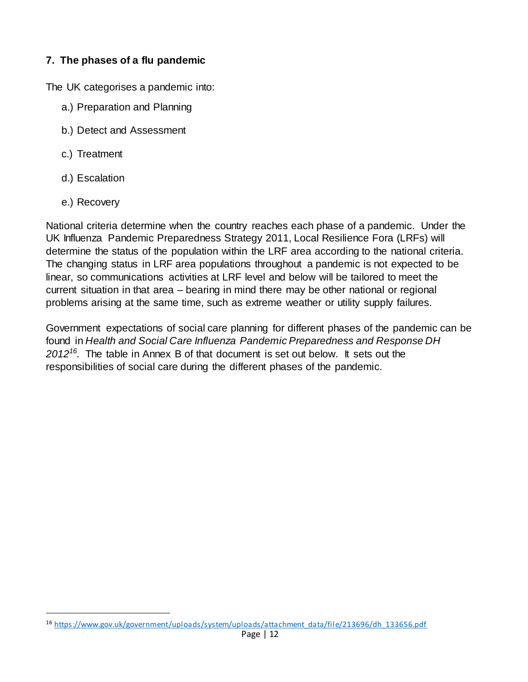## **7. The phases of a flu pandemic**

The UK categorises a pandemic into:

- a.) Preparation and Planning
- b.) Detect and Assessment
- c.) Treatment
- d.) Escalation
- e.) Recovery

 $\overline{a}$ 

National criteria determine when the country reaches each phase of a pandemic. Under the UK Influenza Pandemic Preparedness Strategy 2011, Local Resilience Fora (LRFs) will determine the status of the population within the LRF area according to the national criteria. The changing status in LRF area populations throughout a pandemic is not expected to be linear, so communications activities at LRF level and below will be tailored to meet the current situation in that area – bearing in mind there may be other national or regional problems arising at the same time, such as extreme weather or utility supply failures.

Government expectations of social care planning for different phases of the pandemic can be found in *Health and Social Care Influenza Pandemic Preparedness and Response DH 2012<sup>16</sup> .* The table in Annex B of that document is set out below. It sets out the responsibilities of social care during the different phases of the pandemic.

<sup>16</sup> [https://www.gov.uk/government/uploads/system/uploads/attachment\\_data/file/213696/dh\\_133656.pdf](https://www.gov.uk/government/uploads/system/uploads/attachment_data/file/213696/dh_133656.pdf)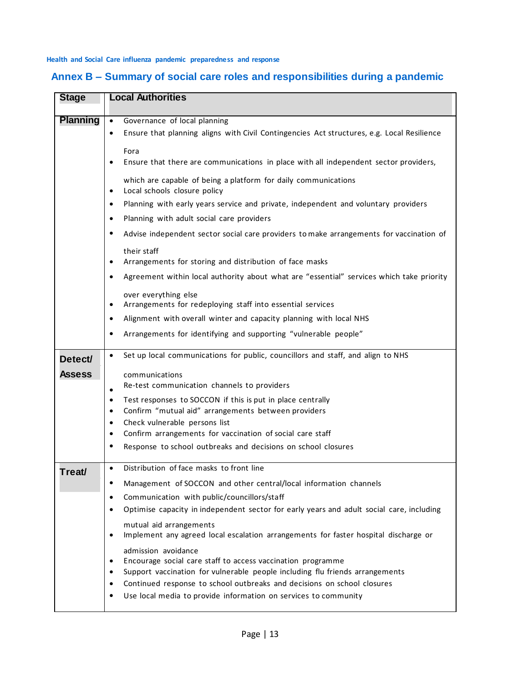**Health and Social Care influenza pandemic preparedness and response**

| <b>Stage</b>    | <b>Local Authorities</b>                                                                                                                                     |
|-----------------|--------------------------------------------------------------------------------------------------------------------------------------------------------------|
| <b>Planning</b> | Governance of local planning<br>$\bullet$                                                                                                                    |
|                 | Ensure that planning aligns with Civil Contingencies Act structures, e.g. Local Resilience<br>$\bullet$                                                      |
|                 | Fora                                                                                                                                                         |
|                 | Ensure that there are communications in place with all independent sector providers,<br>$\bullet$                                                            |
|                 |                                                                                                                                                              |
|                 | which are capable of being a platform for daily communications<br>Local schools closure policy<br>$\bullet$                                                  |
|                 | Planning with early years service and private, independent and voluntary providers<br>$\bullet$                                                              |
|                 | Planning with adult social care providers<br>$\bullet$                                                                                                       |
|                 | Advise independent sector social care providers to make arrangements for vaccination of<br>$\bullet$                                                         |
|                 | their staff                                                                                                                                                  |
|                 | Arrangements for storing and distribution of face masks<br>٠                                                                                                 |
|                 | Agreement within local authority about what are "essential" services which take priority<br>$\bullet$                                                        |
|                 | over everything else                                                                                                                                         |
|                 | Arrangements for redeploying staff into essential services<br>$\bullet$                                                                                      |
|                 | Alignment with overall winter and capacity planning with local NHS<br>٠                                                                                      |
|                 | Arrangements for identifying and supporting "vulnerable people"<br>٠                                                                                         |
| Detect/         | Set up local communications for public, councillors and staff, and align to NHS<br>$\bullet$                                                                 |
| <b>Assess</b>   | communications                                                                                                                                               |
|                 | Re-test communication channels to providers<br>$\bullet$                                                                                                     |
|                 | Test responses to SOCCON if this is put in place centrally<br>$\bullet$                                                                                      |
|                 | Confirm "mutual aid" arrangements between providers<br>$\bullet$                                                                                             |
|                 | Check vulnerable persons list<br>$\bullet$                                                                                                                   |
|                 | Confirm arrangements for vaccination of social care staff<br>$\bullet$                                                                                       |
|                 | Response to school outbreaks and decisions on school closures<br>٠                                                                                           |
| Treat/          | Distribution of face masks to front line<br>$\bullet$                                                                                                        |
|                 | Management of SOCCON and other central/local information channels<br>$\bullet$                                                                               |
|                 | Communication with public/councillors/staff<br>$\bullet$                                                                                                     |
|                 | Optimise capacity in independent sector for early years and adult social care, including<br>٠                                                                |
|                 | mutual aid arrangements<br>Implement any agreed local escalation arrangements for faster hospital discharge or<br>$\bullet$                                  |
|                 | admission avoidance                                                                                                                                          |
|                 | Encourage social care staff to access vaccination programme<br>٠                                                                                             |
|                 | Support vaccination for vulnerable people including flu friends arrangements<br>Continued response to school outbreaks and decisions on school closures<br>٠ |
|                 | Use local media to provide information on services to community                                                                                              |
|                 |                                                                                                                                                              |

# **Annex B – Summary of social care roles and responsibilities during a pandemic**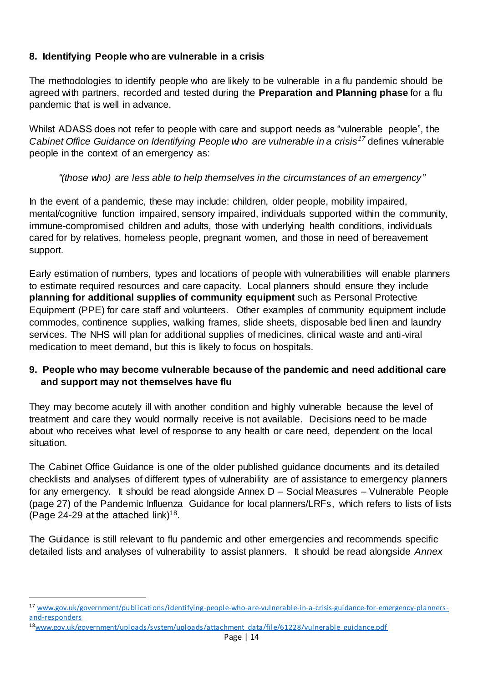## **8. Identifying People who are vulnerable in a crisis**

The methodologies to identify people who are likely to be vulnerable in a flu pandemic should be agreed with partners, recorded and tested during the **Preparation and Planning phase** for a flu pandemic that is well in advance.

Whilst ADASS does not refer to people with care and support needs as "vulnerable people", the *Cabinet Office Guidance on Identifying People who are vulnerable in a crisis<sup>17</sup>* defines vulnerable people in the context of an emergency as:

## *"(those who) are less able to help themselves in the circumstances of an emergency"*

In the event of a pandemic, these may include: children, older people, mobility impaired, mental/cognitive function impaired, sensory impaired, individuals supported within the community, immune-compromised children and adults, those with underlying health conditions, individuals cared for by relatives, homeless people, pregnant women, and those in need of bereavement support.

Early estimation of numbers, types and locations of people with vulnerabilities will enable planners to estimate required resources and care capacity. Local planners should ensure they include **planning for additional supplies of community equipment** such as Personal Protective Equipment (PPE) for care staff and volunteers. Other examples of community equipment include commodes, continence supplies, walking frames, slide sheets, disposable bed linen and laundry services. The NHS will plan for additional supplies of medicines, clinical waste and anti-viral medication to meet demand, but this is likely to focus on hospitals.

## **9. People who may become vulnerable because of the pandemic and need additional care and support may not themselves have flu**

They may become acutely ill with another condition and highly vulnerable because the level of treatment and care they would normally receive is not available. Decisions need to be made about who receives what level of response to any health or care need, dependent on the local situation.

The Cabinet Office Guidance is one of the older published guidance documents and its detailed checklists and analyses of different types of vulnerability are of assistance to emergency planners for any emergency. It should be read alongside Annex D – Social Measures – Vulnerable People (page 27) of the Pandemic Influenza Guidance for local planners/LRFs, which refers to lists of lists (Page 24-29 at the attached link)<sup>18</sup>.

The Guidance is still relevant to flu pandemic and other emergencies and recommends specific detailed lists and analyses of vulnerability to assist planners. It should be read alongside *Annex* 

<sup>17</sup> [www.gov.uk/government/publications/identifying-people-who-are-vulnerable-in-a-crisis-guidance-for-emergency-planners](http://www.gov.uk/government/publications/identifying-people-who-are-vulnerable-in-a-crisis-guidance-for-emergency-planners-and-responders)[and-responders](http://www.gov.uk/government/publications/identifying-people-who-are-vulnerable-in-a-crisis-guidance-for-emergency-planners-and-responders)

<sup>18</sup>[www.gov.uk/government/uploads/system/uploads/attachment\\_data/file/61228/vulnerable\\_guidance.pdf](http://www.gov.uk/government/uploads/system/uploads/attachment_data/file/61228/vulnerable_guidance.pdf)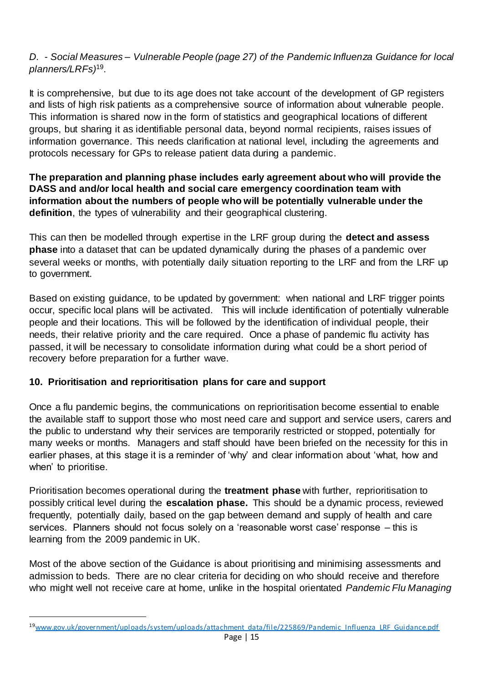## *D. - Social Measures – Vulnerable People (page 27) of the Pandemic Influenza Guidance for local planners/LRFs)*<sup>19</sup> .

It is comprehensive, but due to its age does not take account of the development of GP registers and lists of high risk patients as a comprehensive source of information about vulnerable people. This information is shared now in the form of statistics and geographical locations of different groups, but sharing it as identifiable personal data, beyond normal recipients, raises issues of information governance. This needs clarification at national level, including the agreements and protocols necessary for GPs to release patient data during a pandemic.

## **The preparation and planning phase includes early agreement about who will provide the DASS and and/or local health and social care emergency coordination team with information about the numbers of people who will be potentially vulnerable under the definition**, the types of vulnerability and their geographical clustering.

This can then be modelled through expertise in the LRF group during the **detect and assess phase** into a dataset that can be updated dynamically during the phases of a pandemic over several weeks or months, with potentially daily situation reporting to the LRF and from the LRF up to government.

Based on existing guidance, to be updated by government: when national and LRF trigger points occur, specific local plans will be activated. This will include identification of potentially vulnerable people and their locations. This will be followed by the identification of individual people, their needs, their relative priority and the care required. Once a phase of pandemic flu activity has passed, it will be necessary to consolidate information during what could be a short period of recovery before preparation for a further wave.

## **10. Prioritisation and reprioritisation plans for care and support**

 $\overline{a}$ 

Once a flu pandemic begins, the communications on reprioritisation become essential to enable the available staff to support those who most need care and support and service users, carers and the public to understand why their services are temporarily restricted or stopped, potentially for many weeks or months. Managers and staff should have been briefed on the necessity for this in earlier phases, at this stage it is a reminder of 'why' and clear information about 'what, how and when' to prioritise.

Prioritisation becomes operational during the **treatment phase** with further, reprioritisation to possibly critical level during the **escalation phase.** This should be a dynamic process, reviewed frequently, potentially daily, based on the gap between demand and supply of health and care services. Planners should not focus solely on a 'reasonable worst case' response – this is learning from the 2009 pandemic in UK.

Most of the above section of the Guidance is about prioritising and minimising assessments and admission to beds. There are no clear criteria for deciding on who should receive and therefore who might well not receive care at home, unlike in the hospital orientated *Pandemic Flu Managing* 

<sup>19</sup>[www.gov.uk/government/uploads/system/uploads/attachment\\_data/file/225869/Pandemic\\_Influenza\\_LRF\\_Guidance.pdf](http://www.gov.uk/government/uploads/system/uploads/attachment_data/file/225869/Pandemic_Influenza_LRF_Guidance.pdf)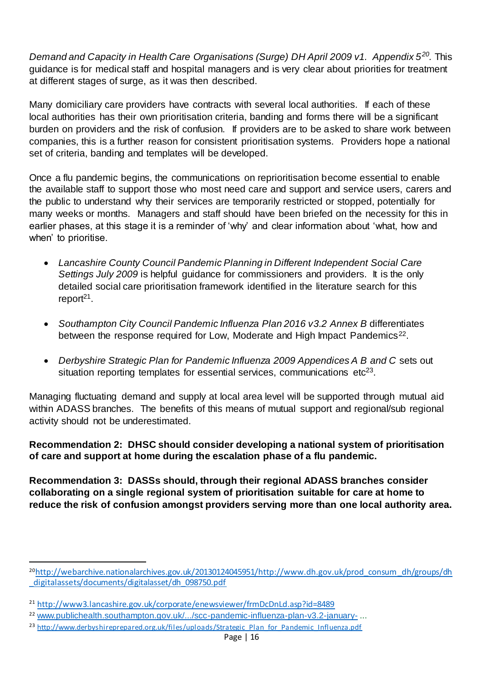*Demand and Capacity in Health Care Organisations (Surge) DH April 2009 v1. Appendix 5<sup>20</sup> .* This guidance is for medical staff and hospital managers and is very clear about priorities for treatment at different stages of surge, as it was then described.

Many domiciliary care providers have contracts with several local authorities. If each of these local authorities has their own prioritisation criteria, banding and forms there will be a significant burden on providers and the risk of confusion. If providers are to be asked to share work between companies, this is a further reason for consistent prioritisation systems. Providers hope a national set of criteria, banding and templates will be developed.

Once a flu pandemic begins, the communications on reprioritisation become essential to enable the available staff to support those who most need care and support and service users, carers and the public to understand why their services are temporarily restricted or stopped, potentially for many weeks or months. Managers and staff should have been briefed on the necessity for this in earlier phases, at this stage it is a reminder of 'why' and clear information about 'what, how and when' to prioritise.

- *Lancashire County Council Pandemic Planning in Different Independent Social Care Settings July 2009* is helpful guidance for commissioners and providers. It is the only detailed social care prioritisation framework identified in the literature search for this report<sup>21</sup>.
- Southampton City Council Pandemic Influenza Plan 2016 v3.2 Annex B differentiates between the response required for Low, Moderate and High Impact Pandemics<sup>22</sup>.
- Derbyshire Strategic Plan for Pandemic Influenza 2009 Appendices A B and C sets out situation reporting templates for essential services, communications etc<sup>23</sup>.

Managing fluctuating demand and supply at local area level will be supported through mutual aid within ADASS branches. The benefits of this means of mutual support and regional/sub regional activity should not be underestimated.

**Recommendation 2: DHSC should consider developing a national system of prioritisation of care and support at home during the escalation phase of a flu pandemic.**

**Recommendation 3: DASSs should, through their regional ADASS branches consider collaborating on a single regional system of prioritisation suitable for care at home to reduce the risk of confusion amongst providers serving more than one local authority area.**

<sup>20</sup>[http://webarchive.nationalarchives.gov.uk/20130124045951/http://www.dh.gov.uk/prod\\_consum\\_dh/groups/dh](http://webarchive.nationalarchives.gov.uk/20130124045951/http:/www.dh.gov.uk/prod_consum_dh/groups/dh_digitalassets/documents/digitalasset/dh_098750.pdf) [\\_digitalassets/documents/digitalasset/dh\\_098750.pdf](http://webarchive.nationalarchives.gov.uk/20130124045951/http:/www.dh.gov.uk/prod_consum_dh/groups/dh_digitalassets/documents/digitalasset/dh_098750.pdf)

<sup>21</sup> <http://www3.lancashire.gov.uk/corporate/enewsviewer/frmDcDnLd.asp?id=8489>

<sup>&</sup>lt;sup>22</sup> [www.publichealth.southampton.gov.uk/.../scc-pandemic-influenza-plan-v3.2-january-](http://www.publichealth.southampton.gov.uk/.../scc-pandemic-influenza-plan-v3.2-january-)...

<sup>&</sup>lt;sup>23</sup> [http://www.derbyshireprepared.org.uk/files/uploads/Strategic\\_Plan\\_for\\_Pandemic\\_Influenza.pdf](http://www.derbyshireprepared.org.uk/files/uploads/Strategic_Plan_for_Pandemic_Influenza.pdf)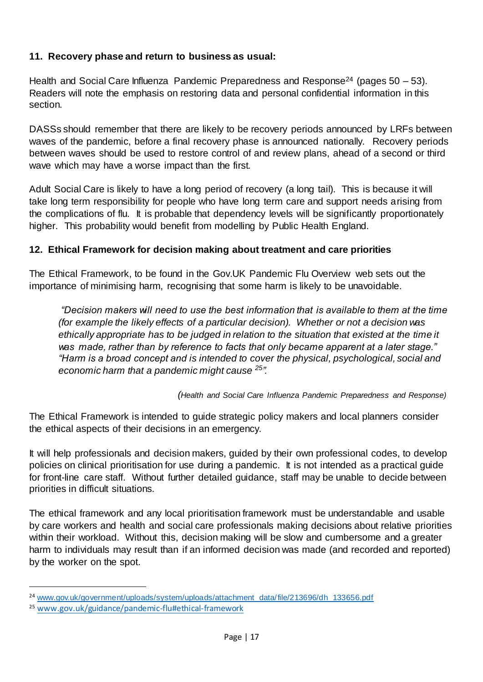## **11. Recovery phase and return to business as usual:**

Health and Social Care Influenza Pandemic Preparedness and Response<sup>24</sup> (pages 50 – 53). Readers will note the emphasis on restoring data and personal confidential information in this section.

DASSs should remember that there are likely to be recovery periods announced by LRFs between waves of the pandemic, before a final recovery phase is announced nationally. Recovery periods between waves should be used to restore control of and review plans, ahead of a second or third wave which may have a worse impact than the first*.*

Adult Social Care is likely to have a long period of recovery (a long tail). This is because it will take long term responsibility for people who have long term care and support needs arising from the complications of flu. It is probable that dependency levels will be significantly proportionately higher. This probability would benefit from modelling by Public Health England.

## **12. Ethical Framework for decision making about treatment and care priorities**

The Ethical Framework, to be found in the Gov.UK Pandemic Flu Overview web sets out the importance of minimising harm, recognising that some harm is likely to be unavoidable.

*"Decision makers will need to use the best information that is available to them at the time (for example the likely effects of a particular decision). Whether or not a decision was ethically appropriate has to be judged in relation to the situation that existed at the time it was made, rather than by reference to facts that only became apparent at a later stage." "Harm is a broad concept and is intended to cover the physical, psychological, social and economic harm that a pandemic might cause <sup>25</sup> ".*

*(Health and Social Care Influenza Pandemic Preparedness and Response)*

The Ethical Framework is intended to guide strategic policy makers and local planners consider the ethical aspects of their decisions in an emergency.

It will help professionals and decision makers, guided by their own professional codes, to develop policies on clinical prioritisation for use during a pandemic. It is not intended as a practical guide for front-line care staff. Without further detailed guidance, staff may be unable to decide between priorities in difficult situations.

The ethical framework and any local prioritisation framework must be understandable and usable by care workers and health and social care professionals making decisions about relative priorities within their workload. Without this, decision making will be slow and cumbersome and a greater harm to individuals may result than if an informed decision was made (and recorded and reported) by the worker on the spot.

<sup>&</sup>lt;sup>24</sup> [www.gov.uk/government/uploads/system/uploads/attachment\\_data/file/213696/dh\\_133656.pdf](http://www.gov.uk/government/uploads/system/uploads/attachment_data/file/213696/dh_133656.pdf)

<sup>25</sup> [www.gov.uk/guidance/pandemic-flu#ethical-framework](http://www.gov.uk/guidance/pandemic-flu#ethical-framework)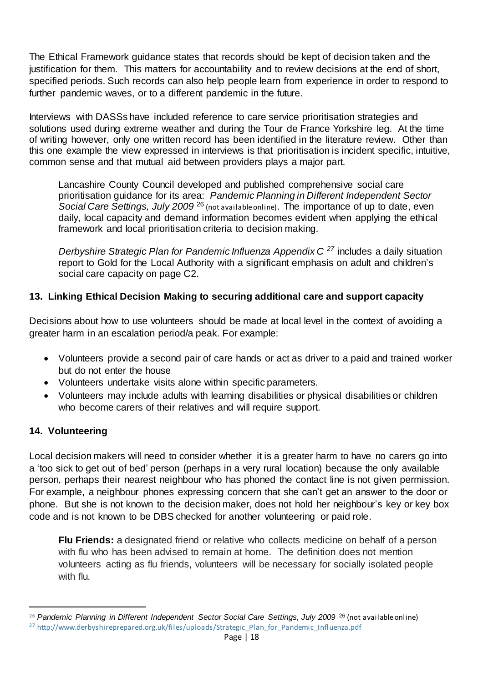The Ethical Framework guidance states that records should be kept of decision taken and the justification for them. This matters for accountability and to review decisions at the end of short, specified periods. Such records can also help people learn from experience in order to respond to further pandemic waves, or to a different pandemic in the future.

Interviews with DASSs have included reference to care service prioritisation strategies and solutions used during extreme weather and during the Tour de France Yorkshire leg. At the time of writing however, only one written record has been identified in the literature review. Other than this one example the view expressed in interviews is that prioritisation is incident specific, intuitive, common sense and that mutual aid between providers plays a major part.

Lancashire County Council developed and published comprehensive social care prioritisation guidance for its area: *Pandemic Planning in Different Independent Sector Social Care Settings, July 2009* <sup>26</sup> (not available online). The importance of up to date, even daily, local capacity and demand information becomes evident when applying the ethical framework and local prioritisation criteria to decision making.

*Derbyshire Strategic Plan for Pandemic Influenza Appendix C <sup>27</sup>* includes a daily situation report to Gold for the Local Authority with a significant emphasis on adult and children's social care capacity on page C2.

## **13. Linking Ethical Decision Making to securing additional care and support capacity**

Decisions about how to use volunteers should be made at local level in the context of avoiding a greater harm in an escalation period/a peak. For example:

- Volunteers provide a second pair of care hands or act as driver to a paid and trained worker but do not enter the house
- Volunteers undertake visits alone within specific parameters.
- Volunteers may include adults with learning disabilities or physical disabilities or children who become carers of their relatives and will require support.

## **14. Volunteering**

 $\overline{a}$ 

Local decision makers will need to consider whether it is a greater harm to have no carers go into a 'too sick to get out of bed' person (perhaps in a very rural location) because the only available person, perhaps their nearest neighbour who has phoned the contact line is not given permission. For example, a neighbour phones expressing concern that she can't get an answer to the door or phone. But she is not known to the decision maker, does not hold her neighbour's key or key box code and is not known to be DBS checked for another volunteering or paid role.

**Flu Friends:** a designated friend or relative who collects medicine on behalf of a person with flu who has been advised to remain at home. The definition does not mention volunteers acting as flu friends, volunteers will be necessary for socially isolated people with flu.

<sup>&</sup>lt;sup>26</sup> Pandemic Planning in Different Independent Sector Social Care Settings, July 2009<sup>26</sup> (not available online) <sup>27</sup> http://www.derbyshireprepared.org.uk/files/uploads/Strategic\_Plan\_for\_Pandemic\_Influenza.pdf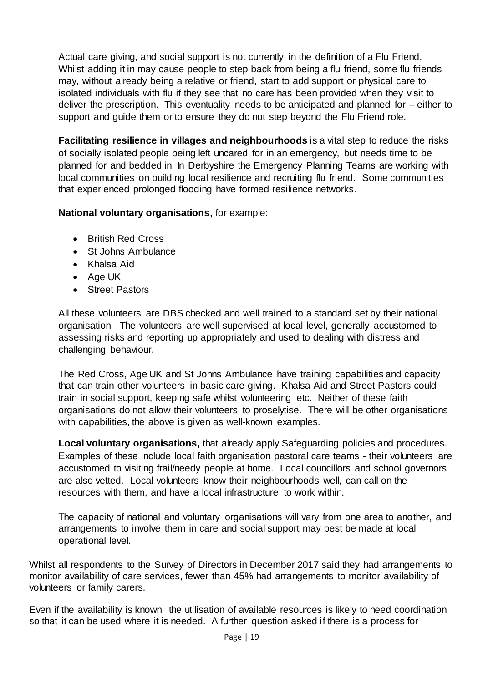Actual care giving, and social support is not currently in the definition of a Flu Friend. Whilst adding it in may cause people to step back from being a flu friend, some flu friends may, without already being a relative or friend, start to add support or physical care to isolated individuals with flu if they see that no care has been provided when they visit to deliver the prescription. This eventuality needs to be anticipated and planned for – either to support and guide them or to ensure they do not step beyond the Flu Friend role.

**Facilitating resilience in villages and neighbourhoods** is a vital step to reduce the risks of socially isolated people being left uncared for in an emergency, but needs time to be planned for and bedded in. In Derbyshire the Emergency Planning Teams are working with local communities on building local resilience and recruiting flu friend. Some communities that experienced prolonged flooding have formed resilience networks.

## **National voluntary organisations,** for example:

- British Red Cross
- St Johns Ambulance
- Khalsa Aid
- Age UK
- Street Pastors

All these volunteers are DBS checked and well trained to a standard set by their national organisation. The volunteers are well supervised at local level, generally accustomed to assessing risks and reporting up appropriately and used to dealing with distress and challenging behaviour.

The Red Cross, Age UK and St Johns Ambulance have training capabilities and capacity that can train other volunteers in basic care giving. Khalsa Aid and Street Pastors could train in social support, keeping safe whilst volunteering etc. Neither of these faith organisations do not allow their volunteers to proselytise. There will be other organisations with capabilities, the above is given as well-known examples.

**Local voluntary organisations,** that already apply Safeguarding policies and procedures. Examples of these include local faith organisation pastoral care teams - their volunteers are accustomed to visiting frail/needy people at home. Local councillors and school governors are also vetted. Local volunteers know their neighbourhoods well, can call on the resources with them, and have a local infrastructure to work within.

The capacity of national and voluntary organisations will vary from one area to another, and arrangements to involve them in care and social support may best be made at local operational level.

Whilst all respondents to the Survey of Directors in December 2017 said they had arrangements to monitor availability of care services, fewer than 45% had arrangements to monitor availability of volunteers or family carers.

Even if the availability is known, the utilisation of available resources is likely to need coordination so that it can be used where it is needed. A further question asked if there is a process for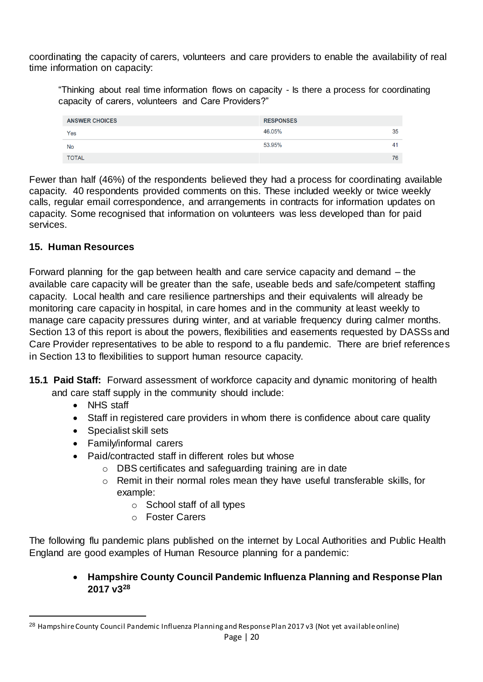coordinating the capacity of carers, volunteers and care providers to enable the availability of real time information on capacity:

"Thinking about real time information flows on capacity - Is there a process for coordinating capacity of carers, volunteers and Care Providers?"

| <b>ANSWER CHOICES</b> | <b>RESPONSES</b> |    |
|-----------------------|------------------|----|
| Yes                   | 46.05%           | 35 |
| No                    | 53.95%           | 41 |
| <b>TOTAL</b>          |                  | 76 |

Fewer than half (46%) of the respondents believed they had a process for coordinating available capacity. 40 respondents provided comments on this. These included weekly or twice weekly calls, regular email correspondence, and arrangements in contracts for information updates on capacity. Some recognised that information on volunteers was less developed than for paid services.

## **15. Human Resources**

Forward planning for the gap between health and care service capacity and demand – the available care capacity will be greater than the safe, useable beds and safe/competent staffing capacity. Local health and care resilience partnerships and their equivalents will already be monitoring care capacity in hospital, in care homes and in the community at least weekly to manage care capacity pressures during winter, and at variable frequency during calmer months. Section 13 of this report is about the powers, flexibilities and easements requested by DASSs and Care Provider representatives to be able to respond to a flu pandemic. There are brief references in Section 13 to flexibilities to support human resource capacity.

- **15.1 Paid Staff:** Forward assessment of workforce capacity and dynamic monitoring of health and care staff supply in the community should include:
	- NHS staff

 $\overline{a}$ 

- Staff in registered care providers in whom there is confidence about care quality
- Specialist skill sets
- Family/informal carers
- Paid/contracted staff in different roles but whose
	- o DBS certificates and safeguarding training are in date
	- o Remit in their normal roles mean they have useful transferable skills, for example:
		- $\circ$  School staff of all types
		- o Foster Carers

The following flu pandemic plans published on the internet by Local Authorities and Public Health England are good examples of Human Resource planning for a pandemic:

> **Hampshire County Council Pandemic Influenza Planning and Response Plan 2017 v3<sup>28</sup>**

<sup>28</sup> Hampshire County Council Pandemic Influenza Planning and Response Plan 2017 v3 (Not yet available online)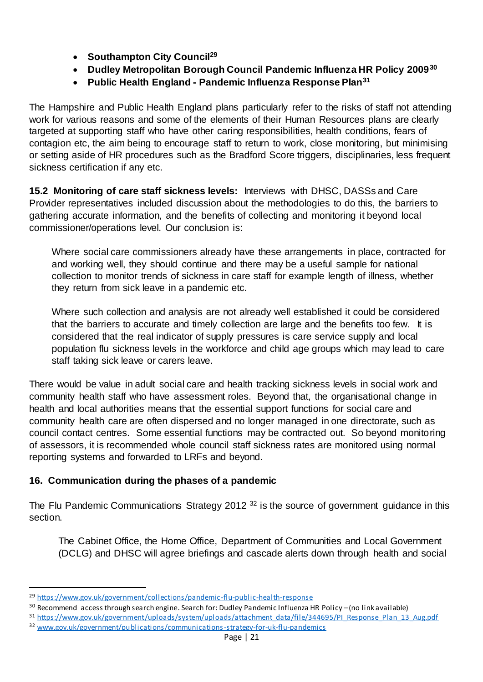- **Southampton City Council<sup>29</sup>**
- **Dudley Metropolitan Borough Council Pandemic Influenza HR Policy 2009<sup>30</sup>**
- **Public Health England - Pandemic Influenza Response Plan<sup>31</sup>**

The Hampshire and Public Health England plans particularly refer to the risks of staff not attending work for various reasons and some of the elements of their Human Resources plans are clearly targeted at supporting staff who have other caring responsibilities, health conditions, fears of contagion etc, the aim being to encourage staff to return to work, close monitoring, but minimising or setting aside of HR procedures such as the Bradford Score triggers, disciplinaries, less frequent sickness certification if any etc.

**15.2 Monitoring of care staff sickness levels:** Interviews with DHSC, DASSs and Care Provider representatives included discussion about the methodologies to do this, the barriers to gathering accurate information, and the benefits of collecting and monitoring it beyond local commissioner/operations level. Our conclusion is:

Where social care commissioners already have these arrangements in place, contracted for and working well, they should continue and there may be a useful sample for national collection to monitor trends of sickness in care staff for example length of illness, whether they return from sick leave in a pandemic etc.

Where such collection and analysis are not already well established it could be considered that the barriers to accurate and timely collection are large and the benefits too few. It is considered that the real indicator of supply pressures is care service supply and local population flu sickness levels in the workforce and child age groups which may lead to care staff taking sick leave or carers leave.

There would be value in adult social care and health tracking sickness levels in social work and community health staff who have assessment roles. Beyond that, the organisational change in health and local authorities means that the essential support functions for social care and community health care are often dispersed and no longer managed in one directorate, such as council contact centres. Some essential functions may be contracted out. So beyond monitoring of assessors, it is recommended whole council staff sickness rates are monitored using normal reporting systems and forwarded to LRFs and beyond.

## **16. Communication during the phases of a pandemic**

The Flu Pandemic Communications Strategy 2012<sup>32</sup> is the source of government guidance in this section.

The Cabinet Office, the Home Office, Department of Communities and Local Government (DCLG) and DHSC will agree briefings and cascade alerts down through health and social

<sup>29</sup> <https://www.gov.uk/government/collections/pandemic-flu-public-health-response>

<sup>&</sup>lt;sup>30</sup> Recommend access through search engine. Search for: Dudley Pandemic Influenza HR Policy – (no link available)

<sup>31</sup> [https://www.gov.uk/government/uploads/system/uploads/attachment\\_data/file/344695/PI\\_Response\\_Plan\\_13\\_Aug.pdf](https://www.gov.uk/government/uploads/system/uploads/attachment_data/file/344695/PI_Response_Plan_13_Aug.pdf) <sup>32</sup> [www.gov.uk/government/publications/communications-strategy-for-uk-flu-pandemics](http://www.gov.uk/government/publications/communications-strategy-for-uk-flu-pandemics)

Page | 21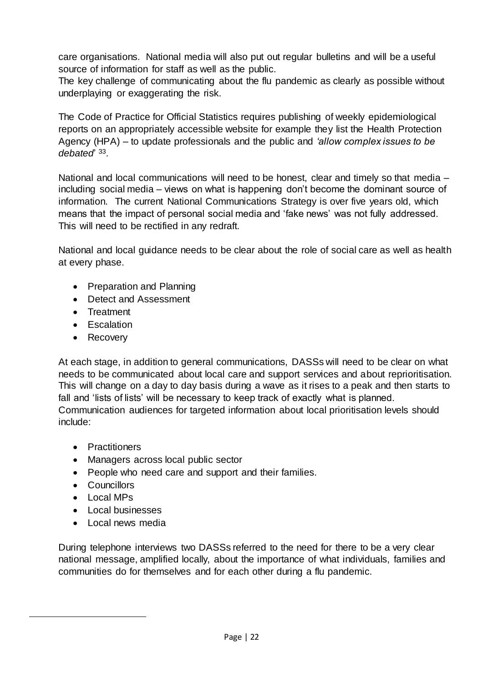care organisations. National media will also put out regular bulletins and will be a useful source of information for staff as well as the public.

The key challenge of communicating about the flu pandemic as clearly as possible without underplaying or exaggerating the risk.

The Code of Practice for Official Statistics requires publishing of weekly epidemiological reports on an appropriately accessible website for example they list the Health Protection Agency (HPA) – to update professionals and the public and *'allow complex issues to be debated*' 33 .

National and local communications will need to be honest, clear and timely so that media – including social media – views on what is happening don't become the dominant source of information. The current National Communications Strategy is over five years old, which means that the impact of personal social media and 'fake news' was not fully addressed. This will need to be rectified in any redraft.

National and local guidance needs to be clear about the role of social care as well as health at every phase.

- Preparation and Planning
- Detect and Assessment
- **•** Treatment
- Escalation
- Recovery

At each stage, in addition to general communications, DASSs will need to be clear on what needs to be communicated about local care and support services and about reprioritisation. This will change on a day to day basis during a wave as it rises to a peak and then starts to fall and 'lists of lists' will be necessary to keep track of exactly what is planned.

Communication audiences for targeted information about local prioritisation levels should include:

- Practitioners
- Managers across local public sector
- People who need care and support and their families.
- Councillors
- Local MPs

 $\overline{a}$ 

- Local businesses
- Local news media

During telephone interviews two DASSs referred to the need for there to be a very clear national message, amplified locally, about the importance of what individuals, families and communities do for themselves and for each other during a flu pandemic.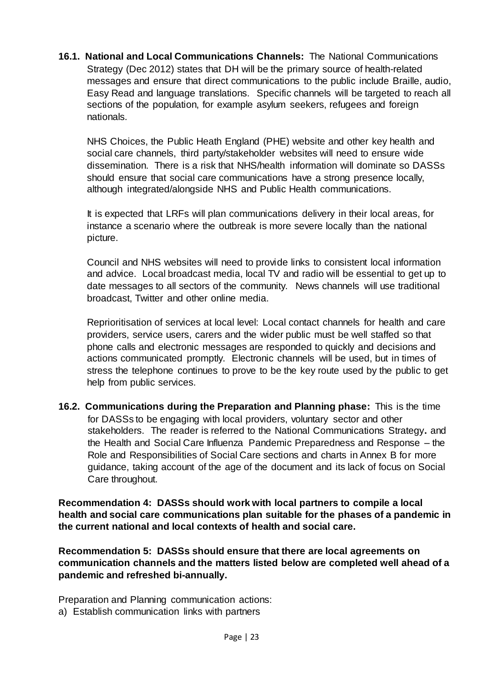**16.1. National and Local Communications Channels:** The National Communications Strategy (Dec 2012) states that DH will be the primary source of health-related messages and ensure that direct communications to the public include Braille, audio, Easy Read and language translations. Specific channels will be targeted to reach all sections of the population, for example asylum seekers, refugees and foreign nationals.

NHS Choices, the Public Heath England (PHE) website and other key health and social care channels, third party/stakeholder websites will need to ensure wide dissemination. There is a risk that NHS/health information will dominate so DASSs should ensure that social care communications have a strong presence locally, although integrated/alongside NHS and Public Health communications.

It is expected that LRFs will plan communications delivery in their local areas, for instance a scenario where the outbreak is more severe locally than the national picture.

Council and NHS websites will need to provide links to consistent local information and advice. Local broadcast media, local TV and radio will be essential to get up to date messages to all sectors of the community. News channels will use traditional broadcast, Twitter and other online media.

Reprioritisation of services at local level: Local contact channels for health and care providers, service users, carers and the wider public must be well staffed so that phone calls and electronic messages are responded to quickly and decisions and actions communicated promptly. Electronic channels will be used, but in times of stress the telephone continues to prove to be the key route used by the public to get help from public services.

**16.2. Communications during the Preparation and Planning phase:** This is the time for DASSs to be engaging with local providers, voluntary sector and other stakeholders. The reader is referred to the National Communications Strategy**.** and the Health and Social Care Influenza Pandemic Preparedness and Response – the Role and Responsibilities of Social Care sections and charts in Annex B for more guidance, taking account of the age of the document and its lack of focus on Social Care throughout.

**Recommendation 4: DASSs should work with local partners to compile a local health and social care communications plan suitable for the phases of a pandemic in the current national and local contexts of health and social care.** 

**Recommendation 5: DASSs should ensure that there are local agreements on communication channels and the matters listed below are completed well ahead of a pandemic and refreshed bi-annually.**

Preparation and Planning communication actions:

a) Establish communication links with partners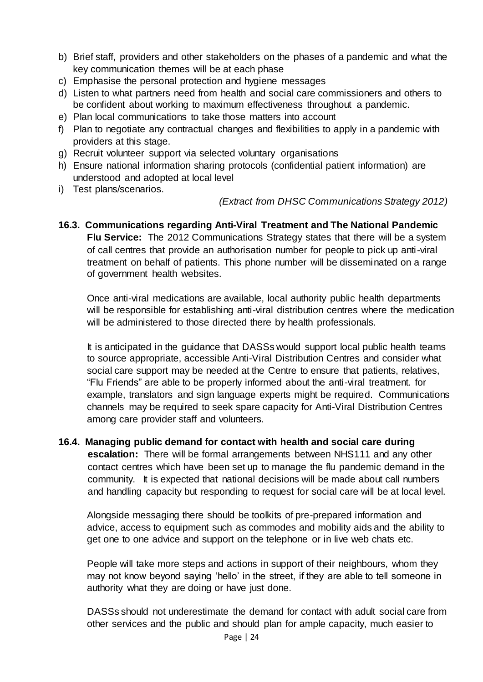- b) Brief staff, providers and other stakeholders on the phases of a pandemic and what the key communication themes will be at each phase
- c) Emphasise the personal protection and hygiene messages
- d) Listen to what partners need from health and social care commissioners and others to be confident about working to maximum effectiveness throughout a pandemic.
- e) Plan local communications to take those matters into account
- f) Plan to negotiate any contractual changes and flexibilities to apply in a pandemic with providers at this stage.
- g) Recruit volunteer support via selected voluntary organisations
- h) Ensure national information sharing protocols (confidential patient information) are understood and adopted at local level
- i) Test plans/scenarios.

#### *(Extract from DHSC Communications Strategy 2012)*

**16.3. Communications regarding Anti-Viral Treatment and The National Pandemic Flu Service:** The 2012 Communications Strategy states that there will be a system of call centres that provide an authorisation number for people to pick up anti-viral treatment on behalf of patients. This phone number will be disseminated on a range of government health websites.

Once anti-viral medications are available, local authority public health departments will be responsible for establishing anti-viral distribution centres where the medication will be administered to those directed there by health professionals.

It is anticipated in the guidance that DASSs would support local public health teams to source appropriate, accessible Anti-Viral Distribution Centres and consider what social care support may be needed at the Centre to ensure that patients, relatives, "Flu Friends" are able to be properly informed about the anti-viral treatment. for example, translators and sign language experts might be required. Communications channels may be required to seek spare capacity for Anti-Viral Distribution Centres among care provider staff and volunteers.

# **16.4. Managing public demand for contact with health and social care during**

**escalation:** There will be formal arrangements between NHS111 and any other contact centres which have been set up to manage the flu pandemic demand in the community. It is expected that national decisions will be made about call numbers and handling capacity but responding to request for social care will be at local level.

Alongside messaging there should be toolkits of pre-prepared information and advice, access to equipment such as commodes and mobility aids and the ability to get one to one advice and support on the telephone or in live web chats etc.

People will take more steps and actions in support of their neighbours, whom they may not know beyond saying 'hello' in the street, if they are able to tell someone in authority what they are doing or have just done.

DASSs should not underestimate the demand for contact with adult social care from other services and the public and should plan for ample capacity, much easier to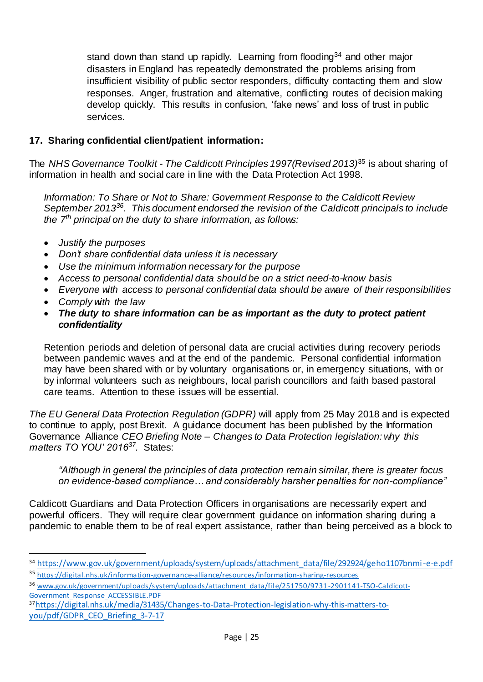stand down than stand up rapidly. Learning from flooding<sup>34</sup> and other major disasters in England has repeatedly demonstrated the problems arising from insufficient visibility of public sector responders, difficulty contacting them and slow responses. Anger, frustration and alternative, conflicting routes of decision making develop quickly. This results in confusion, 'fake news' and loss of trust in public services.

## **17. Sharing confidential client/patient information:**

The *NHS Governance Toolkit - The Caldicott Principles 1997(Revised 2013)*<sup>35</sup> is about sharing of information in health and social care in line with the Data Protection Act 1998.

*Information: To Share or Not to Share: Government Response to the Caldicott Review September 2013<sup>36</sup>. This document endorsed the revision of the Caldicott principals to include the 7th principal on the duty to share information, as follows:*

- *Justify the purposes*
- *Don't share confidential data unless it is necessary*
- *Use the minimum information necessary for the purpose*
- *Access to personal confidential data should be on a strict need-to-know basis*
- *Everyone with access to personal confidential data should be aware of their responsibilities*
- *Comply with the law*

 $\overline{a}$ 

 *The duty to share information can be as important as the duty to protect patient confidentiality*

Retention periods and deletion of personal data are crucial activities during recovery periods between pandemic waves and at the end of the pandemic. Personal confidential information may have been shared with or by voluntary organisations or, in emergency situations, with or by informal volunteers such as neighbours, local parish councillors and faith based pastoral care teams. Attention to these issues will be essential.

*The EU General Data Protection Regulation (GDPR)* will apply from 25 May 2018 and is expected to continue to apply, post Brexit. A guidance document has been published by the Information Governance Alliance *CEO Briefing Note – Changes to Data Protection legislation: why this matters TO YOU' 2016<sup>37</sup> .* States:

*"Although in general the principles of data protection remain similar, there is greater focus on evidence-based compliance… and considerably harsher penalties for non-compliance"*

Caldicott Guardians and Data Protection Officers in organisations are necessarily expert and powerful officers. They will require clear government guidance on information sharing during a pandemic to enable them to be of real expert assistance, rather than being perceived as a block to

37[https://digital.nhs.uk/media/31435/Changes-to-Data-Protection-legislation-why-this-matters-to](https://digital.nhs.uk/media/31435/Changes-to-Data-Protection-legislation-why-this-matters-to-you/pdf/GDPR_CEO_Briefing_3-7-17)[you/pdf/GDPR\\_CEO\\_Briefing\\_3-7-17](https://digital.nhs.uk/media/31435/Changes-to-Data-Protection-legislation-why-this-matters-to-you/pdf/GDPR_CEO_Briefing_3-7-17)

<sup>34</sup> [https://www.gov.uk/government/uploads/system/uploads/attachment\\_data/file/292924/geho1107bnmi-e-e.pdf](https://www.gov.uk/government/uploads/system/uploads/attachment_data/file/292924/geho1107bnmi-e-e.pdf) <sup>35</sup> <https://digital.nhs.uk/information-governance-alliance/resources/information-sharing-resources>

<sup>36</sup> [www.gov.uk/government/uploads/system/uploads/attachment\\_data/file/251750/9731-2901141-TSO-Caldicott-](http://www.gov.uk/government/uploads/system/uploads/attachment_data/file/251750/9731-2901141-TSO-Caldicott-Government_Response_ACCESSIBLE.PDF)[Government\\_Response\\_ACCESSIBLE.PDF](http://www.gov.uk/government/uploads/system/uploads/attachment_data/file/251750/9731-2901141-TSO-Caldicott-Government_Response_ACCESSIBLE.PDF)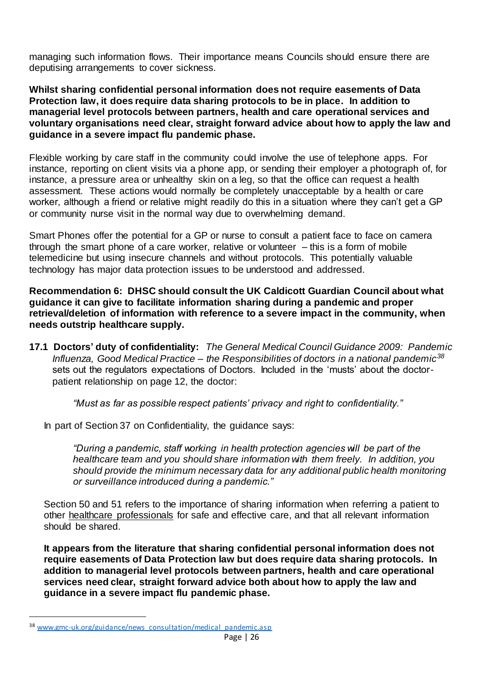managing such information flows. Their importance means Councils should ensure there are deputising arrangements to cover sickness.

**Whilst sharing confidential personal information does not require easements of Data Protection law, it does require data sharing protocols to be in place. In addition to managerial level protocols between partners, health and care operational services and voluntary organisations need clear, straight forward advice about how to apply the law and guidance in a severe impact flu pandemic phase.**

Flexible working by care staff in the community could involve the use of telephone apps. For instance, reporting on client visits via a phone app, or sending their employer a photograph of, for instance, a pressure area or unhealthy skin on a leg, so that the office can request a health assessment. These actions would normally be completely unacceptable by a health or care worker, although a friend or relative might readily do this in a situation where they can't get a GP or community nurse visit in the normal way due to overwhelming demand.

Smart Phones offer the potential for a GP or nurse to consult a patient face to face on camera through the smart phone of a care worker, relative or volunteer – this is a form of mobile telemedicine but using insecure channels and without protocols. This potentially valuable technology has major data protection issues to be understood and addressed.

**Recommendation 6: DHSC should consult the UK Caldicott Guardian Council about what guidance it can give to facilitate information sharing during a pandemic and proper retrieval/deletion of information with reference to a severe impact in the community, when needs outstrip healthcare supply.**

**17.1 Doctors' duty of confidentiality:** *The General Medical Council Guidance 2009: Pandemic Influenza, Good Medical Practice – the Responsibilities of doctors in a national pandemic<sup>38</sup>* sets out the regulators expectations of Doctors. Included in the 'musts' about the doctorpatient relationship on page 12, the doctor:

*"Must as far as possible respect patients' privacy and right to confidentiality."*

In part of Section 37 on Confidentiality, the guidance says:

*"During a pandemic, staff working in health protection agencies will be part of the healthcare team and you should share information with them freely. In addition, you should provide the minimum necessary data for any additional public health monitoring or surveillance introduced during a pandemic."*

Section 50 and 51 refers to the importance of sharing information when referring a patient to other healthcare professionals for safe and effective care, and that all relevant information should be shared.

**It appears from the literature that sharing confidential personal information does not require easements of Data Protection law but does require data sharing protocols. In addition to managerial level protocols between partners, health and care operational services need clear, straight forward advice both about how to apply the law and guidance in a severe impact flu pandemic phase.**

<sup>&</sup>lt;sup>38</sup> [www.gmc-uk.org/guidance/news\\_consultation/medical\\_pandemic.asp](http://www.gmc-uk.org/guidance/news_consultation/medical_pandemic.asp)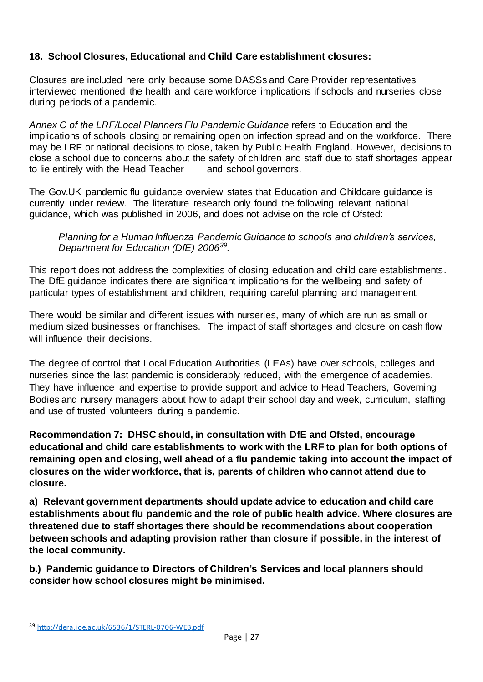## **18. School Closures, Educational and Child Care establishment closures:**

Closures are included here only because some DASSs and Care Provider representatives interviewed mentioned the health and care workforce implications if schools and nurseries close during periods of a pandemic.

*Annex C of the LRF/Local Planners Flu Pandemic Guidance* refers to Education and the implications of schools closing or remaining open on infection spread and on the workforce. There may be LRF or national decisions to close, taken by Public Health England. However, decisions to close a school due to concerns about the safety of children and staff due to staff shortages appear to lie entirely with the Head Teacher and school governors.

The Gov.UK pandemic flu guidance overview states that Education and Childcare guidance is currently under review. The literature research only found the following relevant national guidance, which was published in 2006, and does not advise on the role of Ofsted:

*Planning for a Human Influenza Pandemic Guidance to schools and children's services, Department for Education (DfE) 2006<sup>39</sup> .* 

This report does not address the complexities of closing education and child care establishments. The DfE guidance indicates there are significant implications for the wellbeing and safety of particular types of establishment and children, requiring careful planning and management.

There would be similar and different issues with nurseries, many of which are run as small or medium sized businesses or franchises. The impact of staff shortages and closure on cash flow will influence their decisions.

The degree of control that Local Education Authorities (LEAs) have over schools, colleges and nurseries since the last pandemic is considerably reduced, with the emergence of academies. They have influence and expertise to provide support and advice to Head Teachers, Governing Bodies and nursery managers about how to adapt their school day and week, curriculum, staffing and use of trusted volunteers during a pandemic.

**Recommendation 7: DHSC should, in consultation with DfE and Ofsted, encourage educational and child care establishments to work with the LRF to plan for both options of remaining open and closing, well ahead of a flu pandemic taking into account the impact of closures on the wider workforce, that is, parents of children who cannot attend due to closure.** 

**a) Relevant government departments should update advice to education and child care establishments about flu pandemic and the role of public health advice. Where closures are threatened due to staff shortages there should be recommendations about cooperation between schools and adapting provision rather than closure if possible, in the interest of the local community.**

**b.) Pandemic guidance to Directors of Children's Services and local planners should consider how school closures might be minimised.**

<sup>39</sup> <http://dera.ioe.ac.uk/6536/1/STERL-0706-WEB.pdf>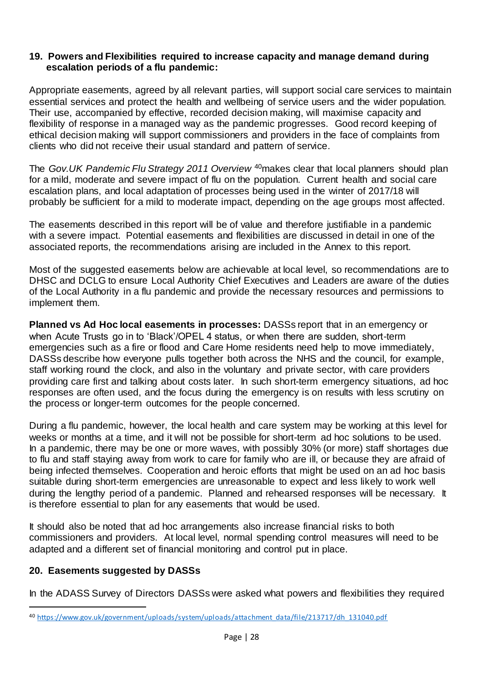#### **19. Powers and Flexibilities required to increase capacity and manage demand during escalation periods of a flu pandemic:**

Appropriate easements, agreed by all relevant parties, will support social care services to maintain essential services and protect the health and wellbeing of service users and the wider population. Their use, accompanied by effective, recorded decision making, will maximise capacity and flexibility of response in a managed way as the pandemic progresses. Good record keeping of ethical decision making will support commissioners and providers in the face of complaints from clients who did not receive their usual standard and pattern of service.

The *Gov.UK Pandemic Flu Strategy 2011 Overview* <sup>40</sup>makes clear that local planners should plan for a mild, moderate and severe impact of flu on the population. Current health and social care escalation plans, and local adaptation of processes being used in the winter of 2017/18 will probably be sufficient for a mild to moderate impact, depending on the age groups most affected.

The easements described in this report will be of value and therefore justifiable in a pandemic with a severe impact. Potential easements and flexibilities are discussed in detail in one of the associated reports, the recommendations arising are included in the Annex to this report.

Most of the suggested easements below are achievable at local level, so recommendations are to DHSC and DCLG to ensure Local Authority Chief Executives and Leaders are aware of the duties of the Local Authority in a flu pandemic and provide the necessary resources and permissions to implement them.

**Planned vs Ad Hoc local easements in processes:** DASSs report that in an emergency or when Acute Trusts go in to 'Black'/OPEL 4 status, or when there are sudden, short-term emergencies such as a fire or flood and Care Home residents need help to move immediately, DASSs describe how everyone pulls together both across the NHS and the council, for example, staff working round the clock, and also in the voluntary and private sector, with care providers providing care first and talking about costs later. In such short-term emergency situations, ad hoc responses are often used, and the focus during the emergency is on results with less scrutiny on the process or longer-term outcomes for the people concerned.

During a flu pandemic, however, the local health and care system may be working at this level for weeks or months at a time, and it will not be possible for short-term ad hoc solutions to be used. In a pandemic, there may be one or more waves, with possibly 30% (or more) staff shortages due to flu and staff staying away from work to care for family who are ill, or because they are afraid of being infected themselves. Cooperation and heroic efforts that might be used on an ad hoc basis suitable during short-term emergencies are unreasonable to expect and less likely to work well during the lengthy period of a pandemic. Planned and rehearsed responses will be necessary. It is therefore essential to plan for any easements that would be used.

It should also be noted that ad hoc arrangements also increase financial risks to both commissioners and providers. At local level, normal spending control measures will need to be adapted and a different set of financial monitoring and control put in place.

## **20. Easements suggested by DASSs**

 $\overline{a}$ 

In the ADASS Survey of Directors DASSs were asked what powers and flexibilities they required

<sup>40</sup> [https://www.gov.uk/government/uploads/system/uploads/attachment\\_data/file/213717/dh\\_131040.pdf](https://www.gov.uk/government/uploads/system/uploads/attachment_data/file/213717/dh_131040.pdf)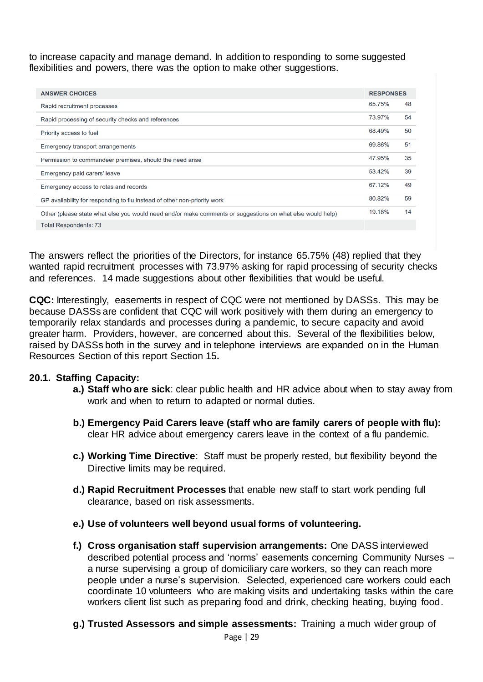to increase capacity and manage demand. In addition to responding to some suggested flexibilities and powers, there was the option to make other suggestions.

| <b>ANSWER CHOICES</b>                                                                                     |        | <b>RESPONSES</b> |  |
|-----------------------------------------------------------------------------------------------------------|--------|------------------|--|
| Rapid recruitment processes                                                                               |        | 48               |  |
| Rapid processing of security checks and references                                                        | 73.97% | 54               |  |
| Priority access to fuel                                                                                   | 68.49% | 50               |  |
| <b>Emergency transport arrangements</b>                                                                   | 69.86% | 51               |  |
| Permission to commandeer premises, should the need arise                                                  | 47.95% | 35               |  |
| Emergency paid carers' leave                                                                              | 53.42% | 39               |  |
| Emergency access to rotas and records                                                                     |        | 49               |  |
| GP availability for responding to flu instead of other non-priority work                                  |        | 59               |  |
| Other (please state what else you would need and/or make comments or suggestions on what else would help) |        | 14               |  |
| <b>Total Respondents: 73</b>                                                                              |        |                  |  |

The answers reflect the priorities of the Directors, for instance 65.75% (48) replied that they wanted rapid recruitment processes with 73.97% asking for rapid processing of security checks and references. 14 made suggestions about other flexibilities that would be useful.

**CQC:** Interestingly, easements in respect of CQC were not mentioned by DASSs. This may be because DASSs are confident that CQC will work positively with them during an emergency to temporarily relax standards and processes during a pandemic, to secure capacity and avoid greater harm. Providers, however, are concerned about this. Several of the flexibilities below, raised by DASSs both in the survey and in telephone interviews are expanded on in the Human Resources Section of this report Section 15**.**

## **20.1. Staffing Capacity:**

- **a.) Staff who are sick**: clear public health and HR advice about when to stay away from work and when to return to adapted or normal duties.
- **b.) Emergency Paid Carers leave (staff who are family carers of people with flu):** clear HR advice about emergency carers leave in the context of a flu pandemic.
- **c.) Working Time Directive**: Staff must be properly rested, but flexibility beyond the Directive limits may be required.
- **d.) Rapid Recruitment Processes** that enable new staff to start work pending full clearance, based on risk assessments.
- **e.) Use of volunteers well beyond usual forms of volunteering.**
- **f.) Cross organisation staff supervision arrangements:** One DASS interviewed described potential process and 'norms' easements concerning Community Nurses – a nurse supervising a group of domiciliary care workers, so they can reach more people under a nurse's supervision. Selected, experienced care workers could each coordinate 10 volunteers who are making visits and undertaking tasks within the care workers client list such as preparing food and drink, checking heating, buying food.
- **g.) Trusted Assessors and simple assessments:** Training a much wider group of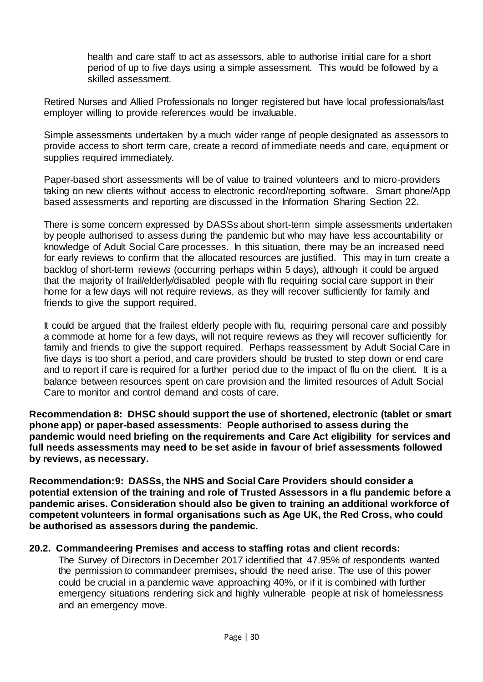health and care staff to act as assessors, able to authorise initial care for a short period of up to five days using a simple assessment. This would be followed by a skilled assessment.

Retired Nurses and Allied Professionals no longer registered but have local professionals/last employer willing to provide references would be invaluable.

Simple assessments undertaken by a much wider range of people designated as assessors to provide access to short term care, create a record of immediate needs and care, equipment or supplies required immediately.

Paper-based short assessments will be of value to trained volunteers and to micro-providers taking on new clients without access to electronic record/reporting software. Smart phone/App based assessments and reporting are discussed in the Information Sharing Section 22.

There is some concern expressed by DASSs about short-term simple assessments undertaken by people authorised to assess during the pandemic but who may have less accountability or knowledge of Adult Social Care processes. In this situation, there may be an increased need for early reviews to confirm that the allocated resources are justified. This may in turn create a backlog of short-term reviews (occurring perhaps within 5 days), although it could be argued that the majority of frail/elderly/disabled people with flu requiring social care support in their home for a few days will not require reviews, as they will recover sufficiently for family and friends to give the support required.

It could be argued that the frailest elderly people with flu, requiring personal care and possibly a commode at home for a few days, will not require reviews as they will recover sufficiently for family and friends to give the support required. Perhaps reassessment by Adult Social Care in five days is too short a period, and care providers should be trusted to step down or end care and to report if care is required for a further period due to the impact of flu on the client. It is a balance between resources spent on care provision and the limited resources of Adult Social Care to monitor and control demand and costs of care.

**Recommendation 8: DHSC should support the use of shortened, electronic (tablet or smart phone app) or paper-based assessments**: **People authorised to assess during the pandemic would need briefing on the requirements and Care Act eligibility for services and full needs assessments may need to be set aside in favour of brief assessments followed by reviews, as necessary.**

**Recommendation:9: DASSs, the NHS and Social Care Providers should consider a potential extension of the training and role of Trusted Assessors in a flu pandemic before a pandemic arises. Consideration should also be given to training an additional workforce of competent volunteers in formal organisations such as Age UK, the Red Cross, who could be authorised as assessors during the pandemic.** 

#### **20.2. Commandeering Premises and access to staffing rotas and client records:**

The Survey of Directors in December 2017 identified that 47.95% of respondents wanted the permission to commandeer premises**,** should the need arise. The use of this power could be crucial in a pandemic wave approaching 40%, or if it is combined with further emergency situations rendering sick and highly vulnerable people at risk of homelessness and an emergency move.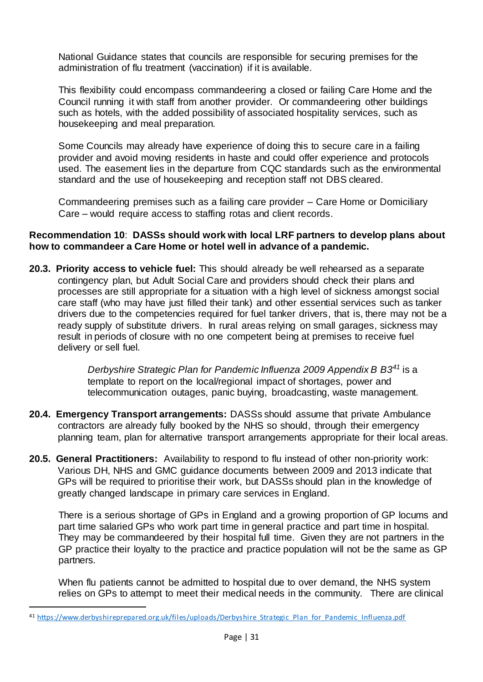National Guidance states that councils are responsible for securing premises for the administration of flu treatment (vaccination) if it is available.

This flexibility could encompass commandeering a closed or failing Care Home and the Council running it with staff from another provider. Or commandeering other buildings such as hotels, with the added possibility of associated hospitality services, such as housekeeping and meal preparation.

Some Councils may already have experience of doing this to secure care in a failing provider and avoid moving residents in haste and could offer experience and protocols used. The easement lies in the departure from CQC standards such as the environmental standard and the use of housekeeping and reception staff not DBS cleared.

Commandeering premises such as a failing care provider – Care Home or Domiciliary Care – would require access to staffing rotas and client records.

#### **Recommendation 10**: **DASSs should work with local LRF partners to develop plans about how to commandeer a Care Home or hotel well in advance of a pandemic.**

**20.3. Priority access to vehicle fuel:** This should already be well rehearsed as a separate contingency plan, but Adult Social Care and providers should check their plans and processes are still appropriate for a situation with a high level of sickness amongst social care staff (who may have just filled their tank) and other essential services such as tanker drivers due to the competencies required for fuel tanker drivers, that is, there may not be a ready supply of substitute drivers. In rural areas relying on small garages, sickness may result in periods of closure with no one competent being at premises to receive fuel delivery or sell fuel.

> *Derbyshire Strategic Plan for Pandemic Influenza 2009 Appendix B B3<sup>41</sup>* is a template to report on the local/regional impact of shortages, power and telecommunication outages, panic buying, broadcasting, waste management.

- **20.4. Emergency Transport arrangements:** DASSs should assume that private Ambulance contractors are already fully booked by the NHS so should, through their emergency planning team, plan for alternative transport arrangements appropriate for their local areas.
- **20.5. General Practitioners:** Availability to respond to flu instead of other non-priority work: Various DH, NHS and GMC guidance documents between 2009 and 2013 indicate that GPs will be required to prioritise their work, but DASSs should plan in the knowledge of greatly changed landscape in primary care services in England.

There is a serious shortage of GPs in England and a growing proportion of GP locums and part time salaried GPs who work part time in general practice and part time in hospital. They may be commandeered by their hospital full time. Given they are not partners in the GP practice their loyalty to the practice and practice population will not be the same as GP partners.

When flu patients cannot be admitted to hospital due to over demand, the NHS system relies on GPs to attempt to meet their medical needs in the community. There are clinical

<sup>41</sup> [https://www.derbyshireprepared.org.uk/files/uploads/Derbyshire\\_Strategic\\_Plan\\_for\\_Pandemic\\_Influenza.pdf](https://www.derbyshireprepared.org.uk/files/uploads/Derbyshire_Strategic_Plan_for_Pandemic_Influenza.pdf)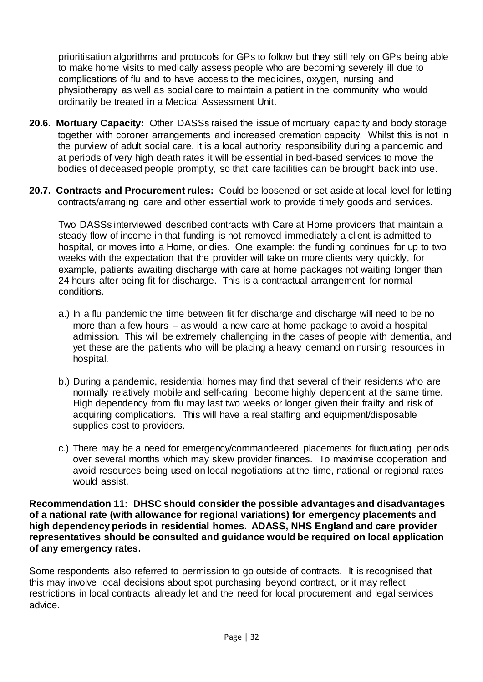prioritisation algorithms and protocols for GPs to follow but they still rely on GPs being able to make home visits to medically assess people who are becoming severely ill due to complications of flu and to have access to the medicines, oxygen, nursing and physiotherapy as well as social care to maintain a patient in the community who would ordinarily be treated in a Medical Assessment Unit.

- **20.6. Mortuary Capacity:** Other DASSs raised the issue of mortuary capacity and body storage together with coroner arrangements and increased cremation capacity. Whilst this is not in the purview of adult social care, it is a local authority responsibility during a pandemic and at periods of very high death rates it will be essential in bed-based services to move the bodies of deceased people promptly, so that care facilities can be brought back into use.
- **20.7. Contracts and Procurement rules:** Could be loosened or set aside at local level for letting contracts/arranging care and other essential work to provide timely goods and services.

Two DASSs interviewed described contracts with Care at Home providers that maintain a steady flow of income in that funding is not removed immediately a client is admitted to hospital, or moves into a Home, or dies. One example: the funding continues for up to two weeks with the expectation that the provider will take on more clients very quickly, for example, patients awaiting discharge with care at home packages not waiting longer than 24 hours after being fit for discharge. This is a contractual arrangement for normal conditions.

- a.) In a flu pandemic the time between fit for discharge and discharge will need to be no more than a few hours – as would a new care at home package to avoid a hospital admission. This will be extremely challenging in the cases of people with dementia, and yet these are the patients who will be placing a heavy demand on nursing resources in hospital.
- b.) During a pandemic, residential homes may find that several of their residents who are normally relatively mobile and self-caring, become highly dependent at the same time. High dependency from flu may last two weeks or longer given their frailty and risk of acquiring complications. This will have a real staffing and equipment/disposable supplies cost to providers.
- c.) There may be a need for emergency/commandeered placements for fluctuating periods over several months which may skew provider finances. To maximise cooperation and avoid resources being used on local negotiations at the time, national or regional rates would assist.

**Recommendation 11: DHSC should consider the possible advantages and disadvantages of a national rate (with allowance for regional variations) for emergency placements and high dependency periods in residential homes. ADASS, NHS England and care provider representatives should be consulted and guidance would be required on local application of any emergency rates.**

Some respondents also referred to permission to go outside of contracts. It is recognised that this may involve local decisions about spot purchasing beyond contract, or it may reflect restrictions in local contracts already let and the need for local procurement and legal services advice.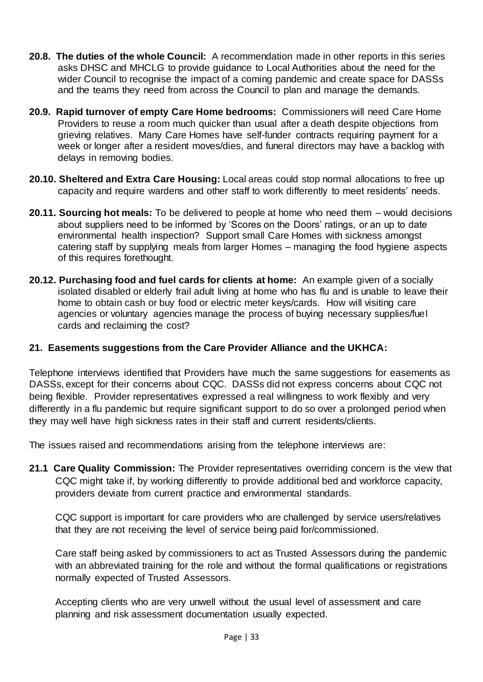- **20.8. The duties of the whole Council:** A recommendation made in other reports in this series asks DHSC and MHCLG to provide guidance to Local Authorities about the need for the wider Council to recognise the impact of a coming pandemic and create space for DASSs and the teams they need from across the Council to plan and manage the demands.
- **20.9. Rapid turnover of empty Care Home bedrooms:** Commissioners will need Care Home Providers to reuse a room much quicker than usual after a death despite objections from grieving relatives. Many Care Homes have self-funder contracts requiring payment for a week or longer after a resident moves/dies, and funeral directors may have a backlog with delays in removing bodies.
- **20.10. Sheltered and Extra Care Housing:** Local areas could stop normal allocations to free up capacity and require wardens and other staff to work differently to meet residents' needs.
- **20.11. Sourcing hot meals:** To be delivered to people at home who need them would decisions about suppliers need to be informed by 'Scores on the Doors' ratings, or an up to date environmental health inspection? Support small Care Homes with sickness amongst catering staff by supplying meals from larger Homes – managing the food hygiene aspects of this requires forethought.
- **20.12. Purchasing food and fuel cards for clients at home:** An example given of a socially isolated disabled or elderly frail adult living at home who has flu and is unable to leave their home to obtain cash or buy food or electric meter keys/cards. How will visiting care agencies or voluntary agencies manage the process of buying necessary supplies/fuel cards and reclaiming the cost?

## **21. Easements suggestions from the Care Provider Alliance and the UKHCA:**

Telephone interviews identified that Providers have much the same suggestions for easements as DASSs, except for their concerns about CQC. DASSs did not express concerns about CQC not being flexible. Provider representatives expressed a real willingness to work flexibly and very differently in a flu pandemic but require significant support to do so over a prolonged period when they may well have high sickness rates in their staff and current residents/clients.

The issues raised and recommendations arising from the telephone interviews are:

**21.1 Care Quality Commission:** The Provider representatives overriding concern is the view that CQC might take if, by working differently to provide additional bed and workforce capacity, providers deviate from current practice and environmental standards.

CQC support is important for care providers who are challenged by service users/relatives that they are not receiving the level of service being paid for/commissioned.

Care staff being asked by commissioners to act as Trusted Assessors during the pandemic with an abbreviated training for the role and without the formal qualifications or registrations normally expected of Trusted Assessors.

Accepting clients who are very unwell without the usual level of assessment and care planning and risk assessment documentation usually expected.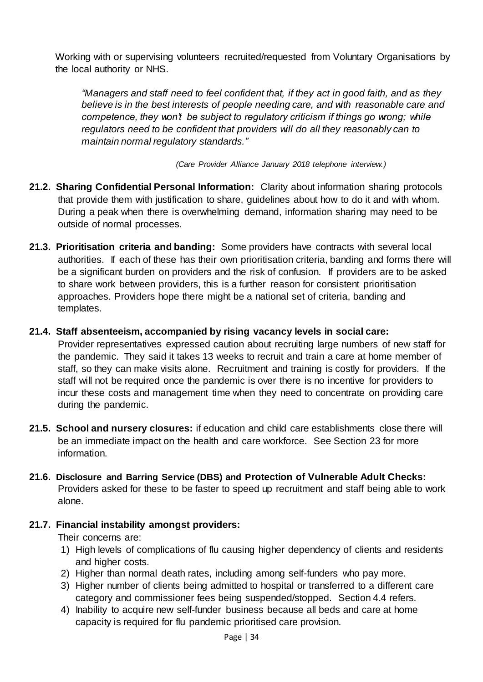Working with or supervising volunteers recruited/requested from Voluntary Organisations by the local authority or NHS.

*"Managers and staff need to feel confident that, if they act in good faith, and as they believe is in the best interests of people needing care, and with reasonable care and competence, they won't be subject to regulatory criticism if things go wrong; while regulators need to be confident that providers will do all they reasonably can to maintain normal regulatory standards."*

*(Care Provider Alliance January 2018 telephone interview.)*

- **21.2. Sharing Confidential Personal Information:** Clarity about information sharing protocols that provide them with justification to share, guidelines about how to do it and with whom. During a peak when there is overwhelming demand, information sharing may need to be outside of normal processes.
- **21.3. Prioritisation criteria and banding:** Some providers have contracts with several local authorities. If each of these has their own prioritisation criteria, banding and forms there will be a significant burden on providers and the risk of confusion. If providers are to be asked to share work between providers, this is a further reason for consistent prioritisation approaches. Providers hope there might be a national set of criteria, banding and templates.

## **21.4. Staff absenteeism, accompanied by rising vacancy levels in social care:**

Provider representatives expressed caution about recruiting large numbers of new staff for the pandemic. They said it takes 13 weeks to recruit and train a care at home member of staff, so they can make visits alone. Recruitment and training is costly for providers. If the staff will not be required once the pandemic is over there is no incentive for providers to incur these costs and management time when they need to concentrate on providing care during the pandemic.

- **21.5. School and nursery closures:** if education and child care establishments close there will be an immediate impact on the health and care workforce. See Section 23 for more information.
- **21.6. Disclosure and Barring Service (DBS) and Protection of Vulnerable Adult Checks:**  Providers asked for these to be faster to speed up recruitment and staff being able to work alone.

## **21.7. Financial instability amongst providers:**

Their concerns are:

- 1) High levels of complications of flu causing higher dependency of clients and residents and higher costs.
- 2) Higher than normal death rates, including among self-funders who pay more.
- 3) Higher number of clients being admitted to hospital or transferred to a different care category and commissioner fees being suspended/stopped. Section 4.4 refers.
- 4) Inability to acquire new self-funder business because all beds and care at home capacity is required for flu pandemic prioritised care provision.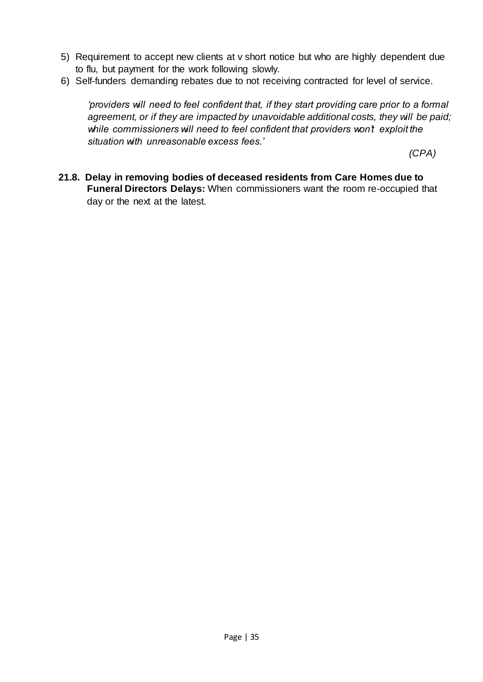- 5) Requirement to accept new clients at v short notice but who are highly dependent due to flu, but payment for the work following slowly.
- 6) Self-funders demanding rebates due to not receiving contracted for level of service.

*'providers will need to feel confident that, if they start providing care prior to a formal agreement, or if they are impacted by unavoidable additional costs, they will be paid; while commissioners will need to feel confident that providers won't exploit the situation with unreasonable excess fees.'* 

*(CPA)*

**21.8. Delay in removing bodies of deceased residents from Care Homes due to Funeral Directors Delays:** When commissioners want the room re-occupied that day or the next at the latest.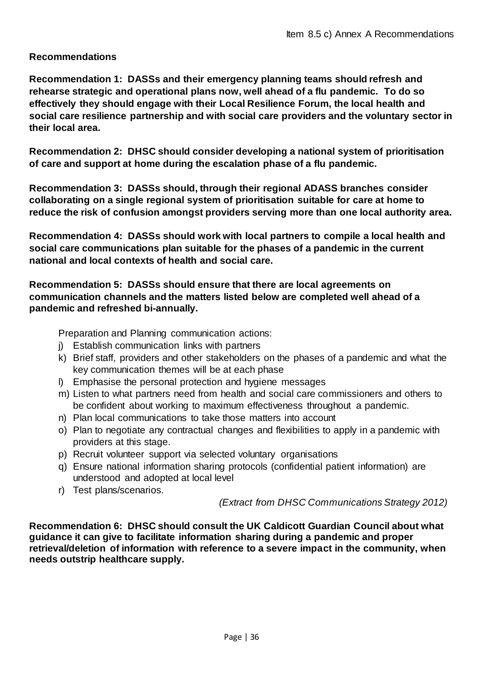## **Recommendations**

**Recommendation 1: DASSs and their emergency planning teams should refresh and rehearse strategic and operational plans now, well ahead of a flu pandemic. To do so effectively they should engage with their Local Resilience Forum, the local health and social care resilience partnership and with social care providers and the voluntary sector in their local area.**

**Recommendation 2: DHSC should consider developing a national system of prioritisation of care and support at home during the escalation phase of a flu pandemic.**

**Recommendation 3: DASSs should, through their regional ADASS branches consider collaborating on a single regional system of prioritisation suitable for care at home to reduce the risk of confusion amongst providers serving more than one local authority area.**

**Recommendation 4: DASSs should work with local partners to compile a local health and social care communications plan suitable for the phases of a pandemic in the current national and local contexts of health and social care.** 

## **Recommendation 5: DASSs should ensure that there are local agreements on communication channels and the matters listed below are completed well ahead of a pandemic and refreshed bi-annually.**

Preparation and Planning communication actions:

- j) Establish communication links with partners
- k) Brief staff, providers and other stakeholders on the phases of a pandemic and what the key communication themes will be at each phase
- l) Emphasise the personal protection and hygiene messages
- m) Listen to what partners need from health and social care commissioners and others to be confident about working to maximum effectiveness throughout a pandemic.
- n) Plan local communications to take those matters into account
- o) Plan to negotiate any contractual changes and flexibilities to apply in a pandemic with providers at this stage.
- p) Recruit volunteer support via selected voluntary organisations
- q) Ensure national information sharing protocols (confidential patient information) are understood and adopted at local level
- r) Test plans/scenarios.

*(Extract from DHSC Communications Strategy 2012)*

**Recommendation 6: DHSC should consult the UK Caldicott Guardian Council about what guidance it can give to facilitate information sharing during a pandemic and proper retrieval/deletion of information with reference to a severe impact in the community, when needs outstrip healthcare supply.**